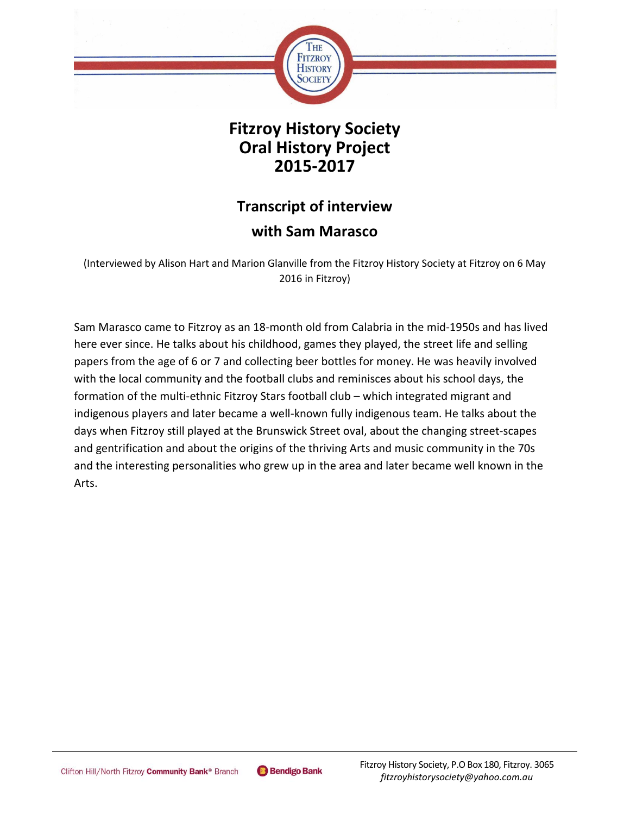

## **Fitzroy History Society Oral History Project 2015-2017**

# **Transcript of interview**

### **with Sam Marasco**

(Interviewed by Alison Hart and Marion Glanville from the Fitzroy History Society at Fitzroy on 6 May 2016 in Fitzroy)

Sam Marasco came to Fitzroy as an 18-month old from Calabria in the mid-1950s and has lived here ever since. He talks about his childhood, games they played, the street life and selling papers from the age of 6 or 7 and collecting beer bottles for money. He was heavily involved with the local community and the football clubs and reminisces about his school days, the formation of the multi-ethnic Fitzroy Stars football club – which integrated migrant and indigenous players and later became a well-known fully indigenous team. He talks about the days when Fitzroy still played at the Brunswick Street oval, about the changing street-scapes and gentrification and about the origins of the thriving Arts and music community in the 70s and the interesting personalities who grew up in the area and later became well known in the Arts.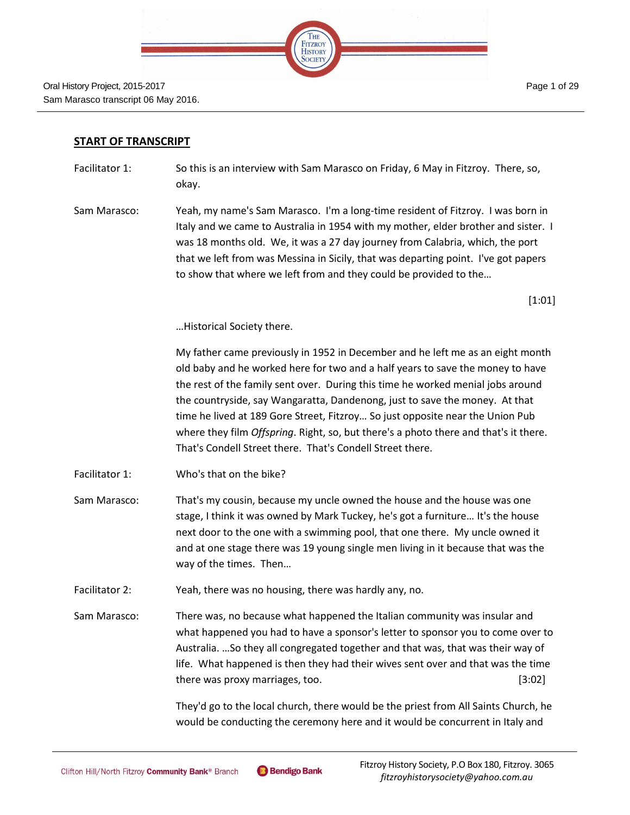

#### **START OF TRANSCRIPT**

- Facilitator 1: So this is an interview with Sam Marasco on Friday, 6 May in Fitzroy. There, so, okay.
- Sam Marasco: Yeah, my name's Sam Marasco. I'm a long-time resident of Fitzroy. I was born in Italy and we came to Australia in 1954 with my mother, elder brother and sister. I was 18 months old. We, it was a 27 day journey from Calabria, which, the port that we left from was Messina in Sicily, that was departing point. I've got papers to show that where we left from and they could be provided to the…

[1:01]

…Historical Society there.

My father came previously in 1952 in December and he left me as an eight month old baby and he worked here for two and a half years to save the money to have the rest of the family sent over. During this time he worked menial jobs around the countryside, say Wangaratta, Dandenong, just to save the money. At that time he lived at 189 Gore Street, Fitzroy… So just opposite near the Union Pub where they film *Offspring*. Right, so, but there's a photo there and that's it there. That's Condell Street there. That's Condell Street there.

- Facilitator 1: Who's that on the bike?
- Sam Marasco: That's my cousin, because my uncle owned the house and the house was one stage, I think it was owned by Mark Tuckey, he's got a furniture… It's the house next door to the one with a swimming pool, that one there. My uncle owned it and at one stage there was 19 young single men living in it because that was the way of the times. Then…
- Facilitator 2: Yeah, there was no housing, there was hardly any, no.
- Sam Marasco: There was, no because what happened the Italian community was insular and what happened you had to have a sponsor's letter to sponsor you to come over to Australia. …So they all congregated together and that was, that was their way of life. What happened is then they had their wives sent over and that was the time there was proxy marriages, too. [3:02]

They'd go to the local church, there would be the priest from All Saints Church, he would be conducting the ceremony here and it would be concurrent in Italy and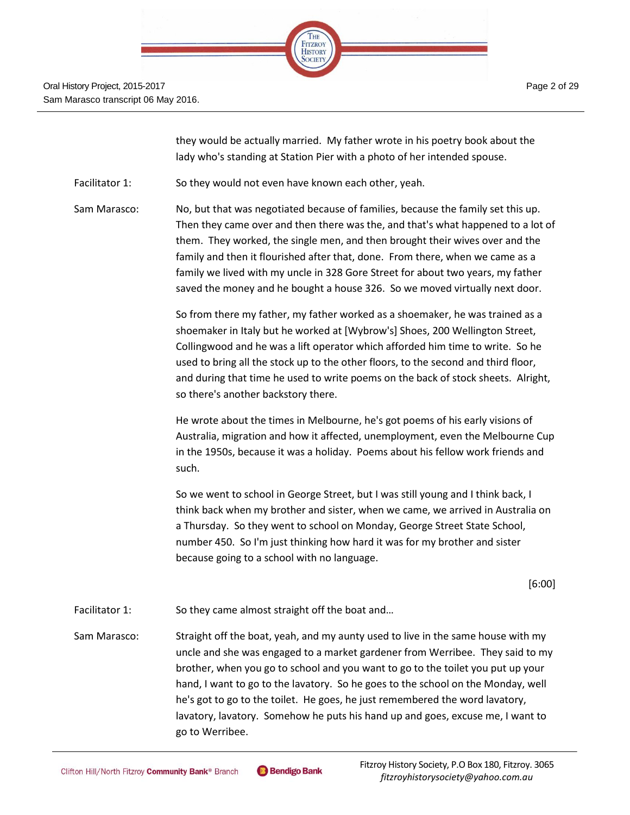

they would be actually married. My father wrote in his poetry book about the lady who's standing at Station Pier with a photo of her intended spouse.

Facilitator 1: So they would not even have known each other, yeah.

Sam Marasco: No, but that was negotiated because of families, because the family set this up. Then they came over and then there was the, and that's what happened to a lot of them. They worked, the single men, and then brought their wives over and the family and then it flourished after that, done. From there, when we came as a family we lived with my uncle in 328 Gore Street for about two years, my father saved the money and he bought a house 326. So we moved virtually next door.

> So from there my father, my father worked as a shoemaker, he was trained as a shoemaker in Italy but he worked at [Wybrow's] Shoes, 200 Wellington Street, Collingwood and he was a lift operator which afforded him time to write. So he used to bring all the stock up to the other floors, to the second and third floor, and during that time he used to write poems on the back of stock sheets. Alright, so there's another backstory there.

He wrote about the times in Melbourne, he's got poems of his early visions of Australia, migration and how it affected, unemployment, even the Melbourne Cup in the 1950s, because it was a holiday. Poems about his fellow work friends and such.

So we went to school in George Street, but I was still young and I think back, I think back when my brother and sister, when we came, we arrived in Australia on a Thursday. So they went to school on Monday, George Street State School, number 450. So I'm just thinking how hard it was for my brother and sister because going to a school with no language.

[6:00]

Facilitator 1: So they came almost straight off the boat and...

Sam Marasco: Straight off the boat, yeah, and my aunty used to live in the same house with my uncle and she was engaged to a market gardener from Werribee. They said to my brother, when you go to school and you want to go to the toilet you put up your hand, I want to go to the lavatory. So he goes to the school on the Monday, well he's got to go to the toilet. He goes, he just remembered the word lavatory, lavatory, lavatory. Somehow he puts his hand up and goes, excuse me, I want to go to Werribee.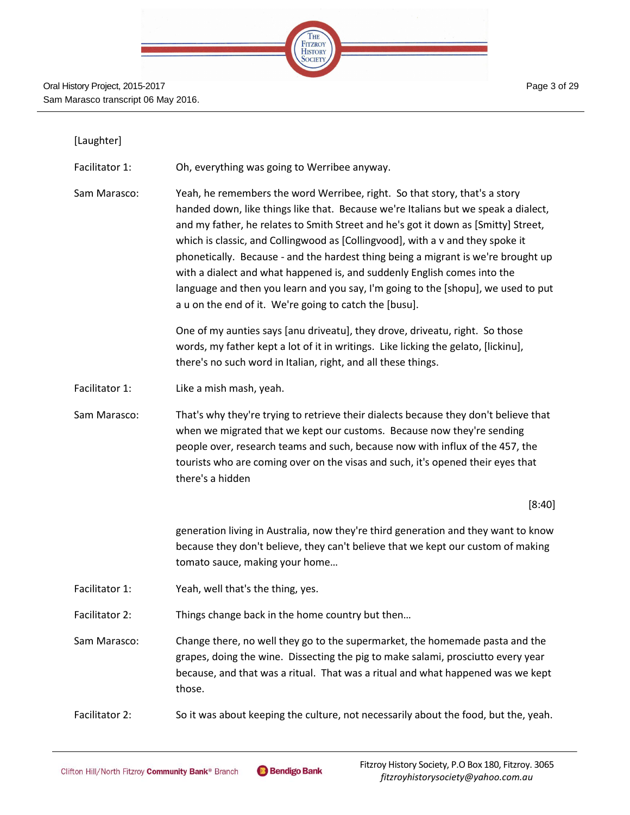| STEP: |  |                                      |  |  |
|-------|--|--------------------------------------|--|--|
|       |  |                                      |  |  |
|       |  | THE<br>FITZROY<br>HISTORY<br>SOCIETY |  |  |
|       |  |                                      |  |  |
|       |  |                                      |  |  |

| [Laughter]     |                                                                                                                                                                                                                                                                                                                                                                                                                                                                                                                                                                                                                                                          |
|----------------|----------------------------------------------------------------------------------------------------------------------------------------------------------------------------------------------------------------------------------------------------------------------------------------------------------------------------------------------------------------------------------------------------------------------------------------------------------------------------------------------------------------------------------------------------------------------------------------------------------------------------------------------------------|
| Facilitator 1: | Oh, everything was going to Werribee anyway.                                                                                                                                                                                                                                                                                                                                                                                                                                                                                                                                                                                                             |
| Sam Marasco:   | Yeah, he remembers the word Werribee, right. So that story, that's a story<br>handed down, like things like that. Because we're Italians but we speak a dialect,<br>and my father, he relates to Smith Street and he's got it down as [Smitty] Street,<br>which is classic, and Collingwood as [Collingvood], with a v and they spoke it<br>phonetically. Because - and the hardest thing being a migrant is we're brought up<br>with a dialect and what happened is, and suddenly English comes into the<br>language and then you learn and you say, I'm going to the [shopu], we used to put<br>a u on the end of it. We're going to catch the [busu]. |
|                | One of my aunties says [anu driveatu], they drove, driveatu, right. So those<br>words, my father kept a lot of it in writings. Like licking the gelato, [lickinu],<br>there's no such word in Italian, right, and all these things.                                                                                                                                                                                                                                                                                                                                                                                                                      |
| Facilitator 1: | Like a mish mash, yeah.                                                                                                                                                                                                                                                                                                                                                                                                                                                                                                                                                                                                                                  |
| Sam Marasco:   | That's why they're trying to retrieve their dialects because they don't believe that<br>when we migrated that we kept our customs. Because now they're sending<br>people over, research teams and such, because now with influx of the 457, the<br>tourists who are coming over on the visas and such, it's opened their eyes that<br>there's a hidden                                                                                                                                                                                                                                                                                                   |
|                | [8:40]                                                                                                                                                                                                                                                                                                                                                                                                                                                                                                                                                                                                                                                   |
|                | generation living in Australia, now they're third generation and they want to know<br>because they don't believe, they can't believe that we kept our custom of making<br>tomato sauce, making your home                                                                                                                                                                                                                                                                                                                                                                                                                                                 |
| Facilitator 1: | Yeah, well that's the thing, yes.                                                                                                                                                                                                                                                                                                                                                                                                                                                                                                                                                                                                                        |
| Facilitator 2: | Things change back in the home country but then                                                                                                                                                                                                                                                                                                                                                                                                                                                                                                                                                                                                          |
| Sam Marasco:   | Change there, no well they go to the supermarket, the homemade pasta and the<br>grapes, doing the wine. Dissecting the pig to make salami, prosciutto every year<br>because, and that was a ritual. That was a ritual and what happened was we kept<br>those.                                                                                                                                                                                                                                                                                                                                                                                            |
| Facilitator 2: | So it was about keeping the culture, not necessarily about the food, but the, yeah.                                                                                                                                                                                                                                                                                                                                                                                                                                                                                                                                                                      |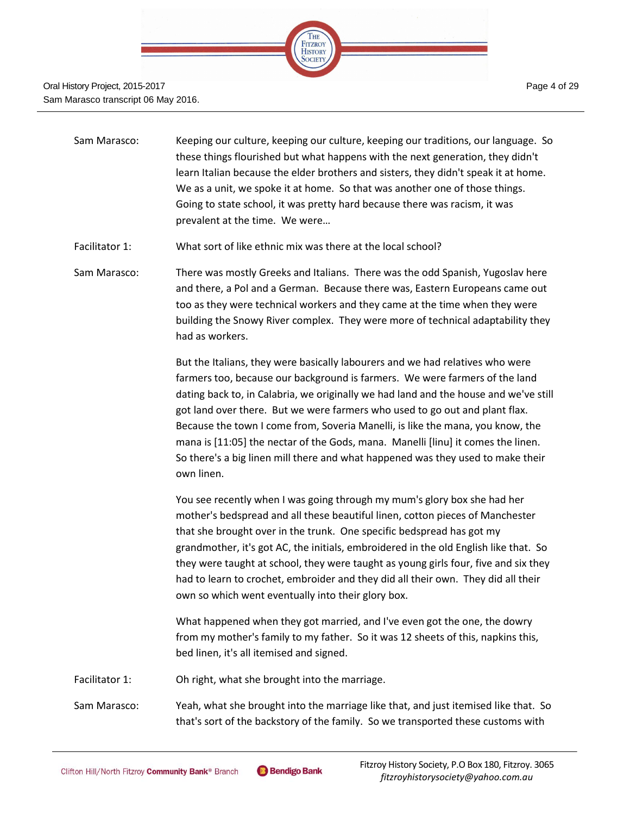

- Sam Marasco: Keeping our culture, keeping our culture, keeping our traditions, our language. So these things flourished but what happens with the next generation, they didn't learn Italian because the elder brothers and sisters, they didn't speak it at home. We as a unit, we spoke it at home. So that was another one of those things. Going to state school, it was pretty hard because there was racism, it was prevalent at the time. We were…
- Facilitator 1: What sort of like ethnic mix was there at the local school?
- Sam Marasco: There was mostly Greeks and Italians. There was the odd Spanish, Yugoslav here and there, a Pol and a German. Because there was, Eastern Europeans came out too as they were technical workers and they came at the time when they were building the Snowy River complex. They were more of technical adaptability they had as workers.

But the Italians, they were basically labourers and we had relatives who were farmers too, because our background is farmers. We were farmers of the land dating back to, in Calabria, we originally we had land and the house and we've still got land over there. But we were farmers who used to go out and plant flax. Because the town I come from, Soveria Manelli, is like the mana, you know, the mana is [11:05] the nectar of the Gods, mana. Manelli [linu] it comes the linen. So there's a big linen mill there and what happened was they used to make their own linen.

You see recently when I was going through my mum's glory box she had her mother's bedspread and all these beautiful linen, cotton pieces of Manchester that she brought over in the trunk. One specific bedspread has got my grandmother, it's got AC, the initials, embroidered in the old English like that. So they were taught at school, they were taught as young girls four, five and six they had to learn to crochet, embroider and they did all their own. They did all their own so which went eventually into their glory box.

What happened when they got married, and I've even got the one, the dowry from my mother's family to my father. So it was 12 sheets of this, napkins this, bed linen, it's all itemised and signed.

Facilitator 1: Oh right, what she brought into the marriage.

Sam Marasco: Yeah, what she brought into the marriage like that, and just itemised like that. So that's sort of the backstory of the family. So we transported these customs with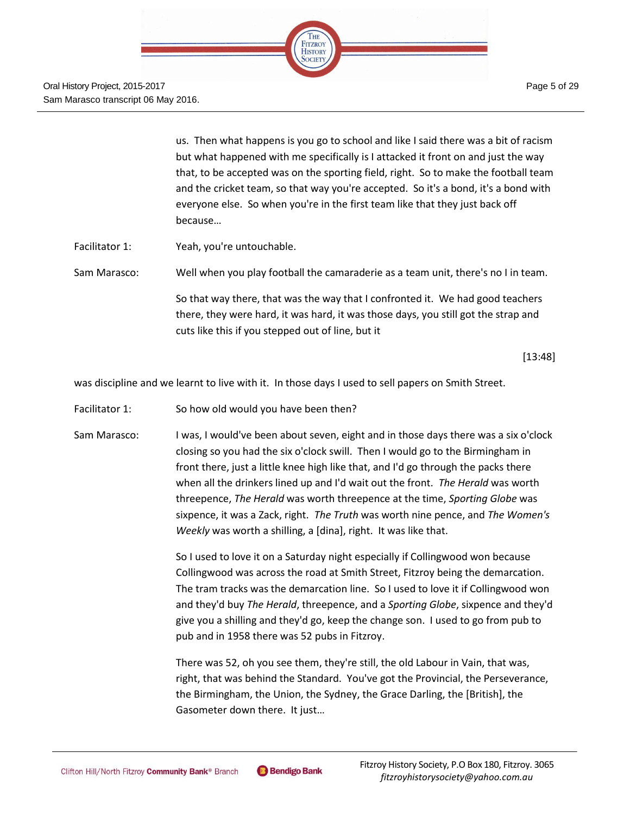

us. Then what happens is you go to school and like I said there was a bit of racism but what happened with me specifically is I attacked it front on and just the way that, to be accepted was on the sporting field, right. So to make the football team and the cricket team, so that way you're accepted. So it's a bond, it's a bond with everyone else. So when you're in the first team like that they just back off because…

Facilitator 1: Yeah, you're untouchable.

Sam Marasco: Well when you play football the camaraderie as a team unit, there's no I in team. So that way there, that was the way that I confronted it. We had good teachers there, they were hard, it was hard, it was those days, you still got the strap and cuts like this if you stepped out of line, but it

[13:48]

was discipline and we learnt to live with it. In those days I used to sell papers on Smith Street.

- Facilitator 1: So how old would you have been then?
- Sam Marasco: I was, I would've been about seven, eight and in those days there was a six o'clock closing so you had the six o'clock swill. Then I would go to the Birmingham in front there, just a little knee high like that, and I'd go through the packs there when all the drinkers lined up and I'd wait out the front. *The Herald* was worth threepence, *The Herald* was worth threepence at the time, *Sporting Globe* was sixpence, it was a Zack, right. *The Truth* was worth nine pence, and *The Women's Weekly* was worth a shilling, a [dina], right. It was like that.

So I used to love it on a Saturday night especially if Collingwood won because Collingwood was across the road at Smith Street, Fitzroy being the demarcation. The tram tracks was the demarcation line. So I used to love it if Collingwood won and they'd buy *The Herald*, threepence, and a *Sporting Globe*, sixpence and they'd give you a shilling and they'd go, keep the change son. I used to go from pub to pub and in 1958 there was 52 pubs in Fitzroy.

There was 52, oh you see them, they're still, the old Labour in Vain, that was, right, that was behind the Standard. You've got the Provincial, the Perseverance, the Birmingham, the Union, the Sydney, the Grace Darling, the [British], the Gasometer down there. It just…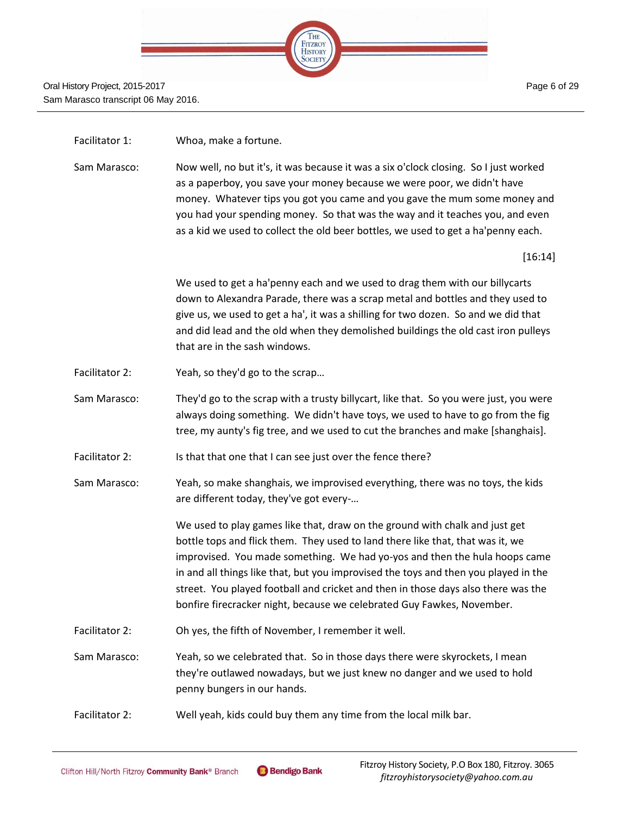

#### Facilitator 1: Whoa, make a fortune.

Sam Marasco: Now well, no but it's, it was because it was a six o'clock closing. So I just worked as a paperboy, you save your money because we were poor, we didn't have money. Whatever tips you got you came and you gave the mum some money and you had your spending money. So that was the way and it teaches you, and even as a kid we used to collect the old beer bottles, we used to get a ha'penny each.

[16:14]

We used to get a ha'penny each and we used to drag them with our billycarts down to Alexandra Parade, there was a scrap metal and bottles and they used to give us, we used to get a ha', it was a shilling for two dozen. So and we did that and did lead and the old when they demolished buildings the old cast iron pulleys that are in the sash windows.

- Facilitator 2: Yeah, so they'd go to the scrap...
- Sam Marasco: They'd go to the scrap with a trusty billycart, like that. So you were just, you were always doing something. We didn't have toys, we used to have to go from the fig tree, my aunty's fig tree, and we used to cut the branches and make [shanghais].
- Facilitator 2: Is that that one that I can see just over the fence there?
- Sam Marasco: Yeah, so make shanghais, we improvised everything, there was no toys, the kids are different today, they've got every-…

We used to play games like that, draw on the ground with chalk and just get bottle tops and flick them. They used to land there like that, that was it, we improvised. You made something. We had yo-yos and then the hula hoops came in and all things like that, but you improvised the toys and then you played in the street. You played football and cricket and then in those days also there was the bonfire firecracker night, because we celebrated Guy Fawkes, November.

- Facilitator 2: Oh yes, the fifth of November, I remember it well.
- Sam Marasco: Yeah, so we celebrated that. So in those days there were skyrockets, I mean they're outlawed nowadays, but we just knew no danger and we used to hold penny bungers in our hands.
- Facilitator 2: Well yeah, kids could buy them any time from the local milk bar.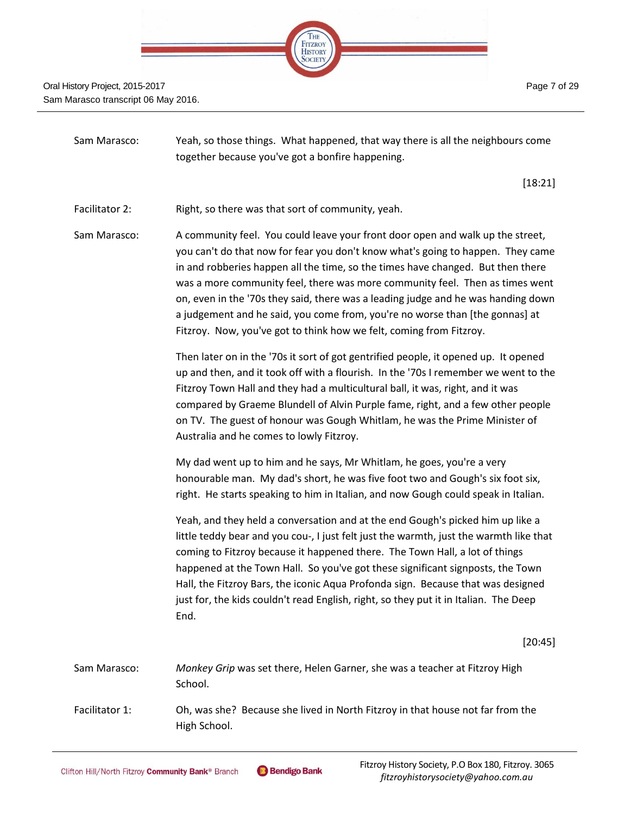

| Sam Marasco:   | Yeah, so those things. What happened, that way there is all the neighbours come<br>together because you've got a bonfire happening.                                                                                                                                                                                                                                                                                                                                                                                                                                              |  |
|----------------|----------------------------------------------------------------------------------------------------------------------------------------------------------------------------------------------------------------------------------------------------------------------------------------------------------------------------------------------------------------------------------------------------------------------------------------------------------------------------------------------------------------------------------------------------------------------------------|--|
|                | [18:21]                                                                                                                                                                                                                                                                                                                                                                                                                                                                                                                                                                          |  |
| Facilitator 2: | Right, so there was that sort of community, yeah.                                                                                                                                                                                                                                                                                                                                                                                                                                                                                                                                |  |
| Sam Marasco:   | A community feel. You could leave your front door open and walk up the street,<br>you can't do that now for fear you don't know what's going to happen. They came<br>in and robberies happen all the time, so the times have changed. But then there<br>was a more community feel, there was more community feel. Then as times went<br>on, even in the '70s they said, there was a leading judge and he was handing down<br>a judgement and he said, you come from, you're no worse than [the gonnas] at<br>Fitzroy. Now, you've got to think how we felt, coming from Fitzroy. |  |
|                | Then later on in the '70s it sort of got gentrified people, it opened up. It opened<br>up and then, and it took off with a flourish. In the '70s I remember we went to the<br>Fitzroy Town Hall and they had a multicultural ball, it was, right, and it was<br>compared by Graeme Blundell of Alvin Purple fame, right, and a few other people<br>on TV. The guest of honour was Gough Whitlam, he was the Prime Minister of<br>Australia and he comes to lowly Fitzroy.                                                                                                        |  |
|                | My dad went up to him and he says, Mr Whitlam, he goes, you're a very<br>honourable man. My dad's short, he was five foot two and Gough's six foot six,<br>right. He starts speaking to him in Italian, and now Gough could speak in Italian.                                                                                                                                                                                                                                                                                                                                    |  |
|                | Yeah, and they held a conversation and at the end Gough's picked him up like a<br>little teddy bear and you cou-, I just felt just the warmth, just the warmth like that<br>coming to Fitzroy because it happened there. The Town Hall, a lot of things<br>happened at the Town Hall. So you've got these significant signposts, the Town<br>Hall, the Fitzroy Bars, the iconic Aqua Profonda sign. Because that was designed<br>just for, the kids couldn't read English, right, so they put it in Italian. The Deep<br>End.                                                    |  |
|                | [20:45]                                                                                                                                                                                                                                                                                                                                                                                                                                                                                                                                                                          |  |
| Sam Marasco:   | Monkey Grip was set there, Helen Garner, she was a teacher at Fitzroy High<br>School.                                                                                                                                                                                                                                                                                                                                                                                                                                                                                            |  |
| Facilitator 1: | Oh, was she? Because she lived in North Fitzroy in that house not far from the<br>High School.                                                                                                                                                                                                                                                                                                                                                                                                                                                                                   |  |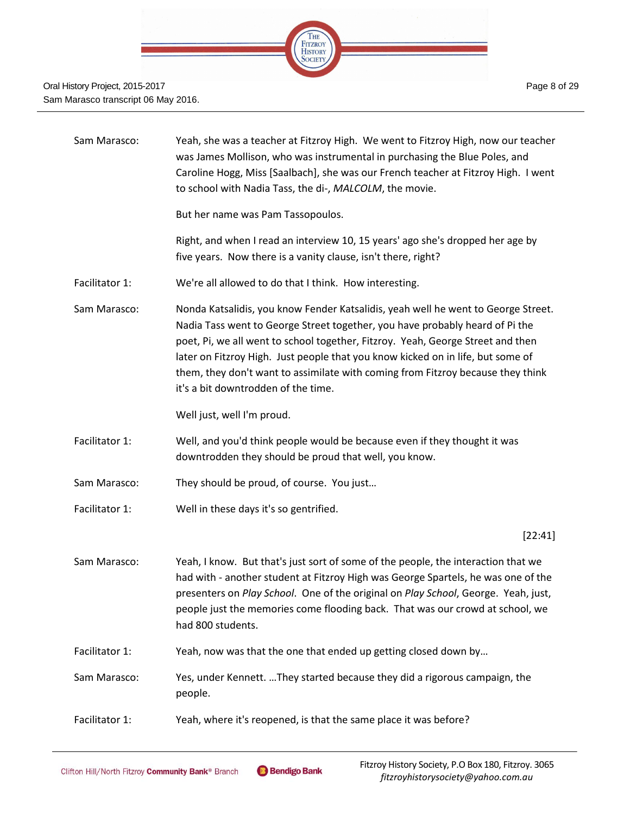

| Sam Marasco:   | Yeah, she was a teacher at Fitzroy High. We went to Fitzroy High, now our teacher<br>was James Mollison, who was instrumental in purchasing the Blue Poles, and<br>Caroline Hogg, Miss [Saalbach], she was our French teacher at Fitzroy High. I went<br>to school with Nadia Tass, the di-, MALCOLM, the movie.                                                                                                                                                  |
|----------------|-------------------------------------------------------------------------------------------------------------------------------------------------------------------------------------------------------------------------------------------------------------------------------------------------------------------------------------------------------------------------------------------------------------------------------------------------------------------|
|                | But her name was Pam Tassopoulos.                                                                                                                                                                                                                                                                                                                                                                                                                                 |
|                | Right, and when I read an interview 10, 15 years' ago she's dropped her age by<br>five years. Now there is a vanity clause, isn't there, right?                                                                                                                                                                                                                                                                                                                   |
| Facilitator 1: | We're all allowed to do that I think. How interesting.                                                                                                                                                                                                                                                                                                                                                                                                            |
| Sam Marasco:   | Nonda Katsalidis, you know Fender Katsalidis, yeah well he went to George Street.<br>Nadia Tass went to George Street together, you have probably heard of Pi the<br>poet, Pi, we all went to school together, Fitzroy. Yeah, George Street and then<br>later on Fitzroy High. Just people that you know kicked on in life, but some of<br>them, they don't want to assimilate with coming from Fitzroy because they think<br>it's a bit downtrodden of the time. |
|                | Well just, well I'm proud.                                                                                                                                                                                                                                                                                                                                                                                                                                        |
| Facilitator 1: | Well, and you'd think people would be because even if they thought it was<br>downtrodden they should be proud that well, you know.                                                                                                                                                                                                                                                                                                                                |
| Sam Marasco:   | They should be proud, of course. You just                                                                                                                                                                                                                                                                                                                                                                                                                         |
| Facilitator 1: | Well in these days it's so gentrified.                                                                                                                                                                                                                                                                                                                                                                                                                            |
|                | [22:41]                                                                                                                                                                                                                                                                                                                                                                                                                                                           |
| Sam Marasco:   | Yeah, I know. But that's just sort of some of the people, the interaction that we<br>had with - another student at Fitzroy High was George Spartels, he was one of the<br>presenters on Play School. One of the original on Play School, George. Yeah, just,<br>people just the memories come flooding back. That was our crowd at school, we<br>had 800 students.                                                                                                |
| Facilitator 1: | Yeah, now was that the one that ended up getting closed down by                                                                                                                                                                                                                                                                                                                                                                                                   |
| Sam Marasco:   | Yes, under Kennett. They started because they did a rigorous campaign, the<br>people.                                                                                                                                                                                                                                                                                                                                                                             |
| Facilitator 1: | Yeah, where it's reopened, is that the same place it was before?                                                                                                                                                                                                                                                                                                                                                                                                  |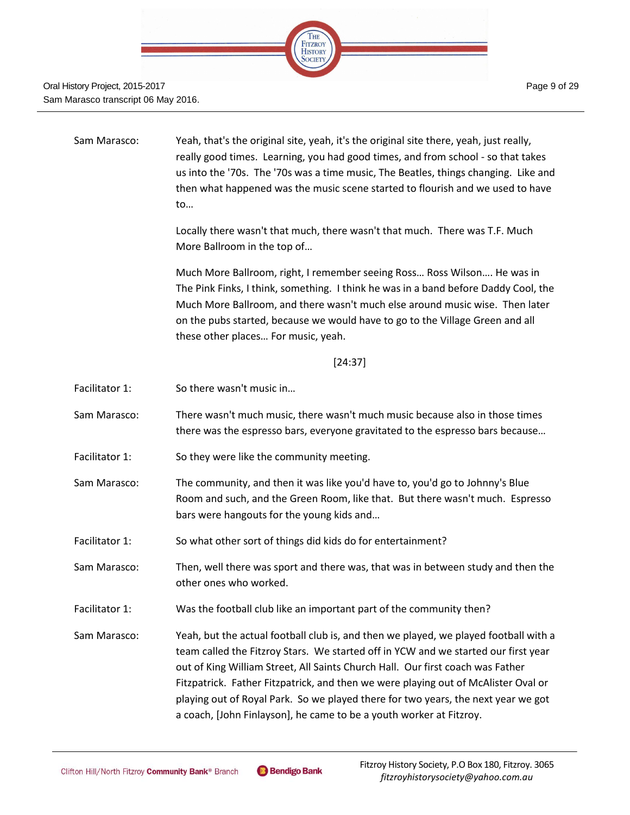

Sam Marasco: Yeah, that's the original site, yeah, it's the original site there, yeah, just really, really good times. Learning, you had good times, and from school - so that takes us into the '70s. The '70s was a time music, The Beatles, things changing. Like and then what happened was the music scene started to flourish and we used to have to…

> Locally there wasn't that much, there wasn't that much. There was T.F. Much More Ballroom in the top of…

Much More Ballroom, right, I remember seeing Ross… Ross Wilson…. He was in The Pink Finks, I think, something. I think he was in a band before Daddy Cool, the Much More Ballroom, and there wasn't much else around music wise. Then later on the pubs started, because we would have to go to the Village Green and all these other places… For music, yeah.

[24:37]

- Facilitator 1: So there wasn't music in...
- Sam Marasco: There wasn't much music, there wasn't much music because also in those times there was the espresso bars, everyone gravitated to the espresso bars because…
- Facilitator 1: So they were like the community meeting.
- Sam Marasco: The community, and then it was like you'd have to, you'd go to Johnny's Blue Room and such, and the Green Room, like that. But there wasn't much. Espresso bars were hangouts for the young kids and…
- Facilitator 1: So what other sort of things did kids do for entertainment?
- Sam Marasco: Then, well there was sport and there was, that was in between study and then the other ones who worked.
- Facilitator 1: Was the football club like an important part of the community then?
- Sam Marasco: Yeah, but the actual football club is, and then we played, we played football with a team called the Fitzroy Stars. We started off in YCW and we started our first year out of King William Street, All Saints Church Hall. Our first coach was Father Fitzpatrick. Father Fitzpatrick, and then we were playing out of McAlister Oval or playing out of Royal Park. So we played there for two years, the next year we got a coach, [John Finlayson], he came to be a youth worker at Fitzroy.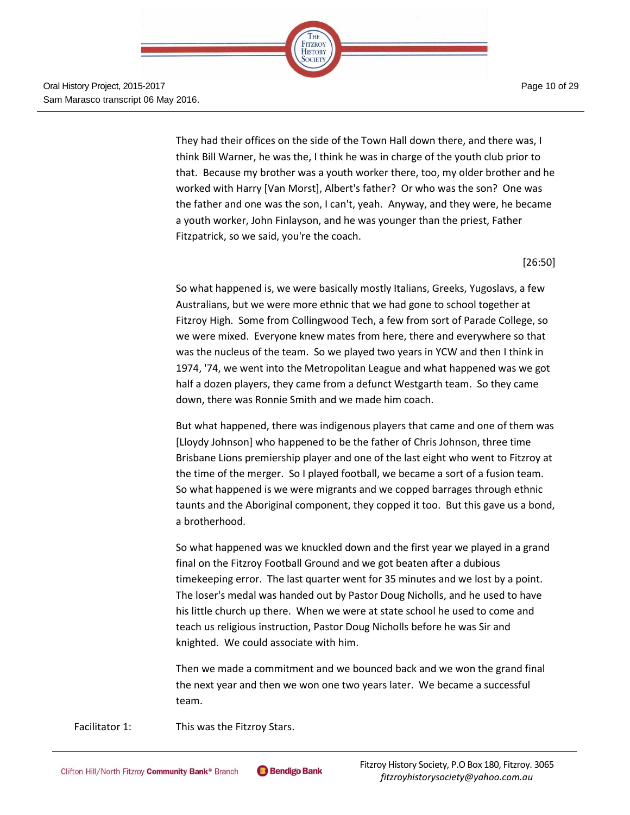

They had their offices on the side of the Town Hall down there, and there was, I think Bill Warner, he was the, I think he was in charge of the youth club prior to that. Because my brother was a youth worker there, too, my older brother and he worked with Harry [Van Morst], Albert's father? Or who was the son? One was the father and one was the son, I can't, yeah. Anyway, and they were, he became a youth worker, John Finlayson, and he was younger than the priest, Father Fitzpatrick, so we said, you're the coach.

[26:50]

So what happened is, we were basically mostly Italians, Greeks, Yugoslavs, a few Australians, but we were more ethnic that we had gone to school together at Fitzroy High. Some from Collingwood Tech, a few from sort of Parade College, so we were mixed. Everyone knew mates from here, there and everywhere so that was the nucleus of the team. So we played two years in YCW and then I think in 1974, '74, we went into the Metropolitan League and what happened was we got half a dozen players, they came from a defunct Westgarth team. So they came down, there was Ronnie Smith and we made him coach.

But what happened, there was indigenous players that came and one of them was [Lloydy Johnson] who happened to be the father of Chris Johnson, three time Brisbane Lions premiership player and one of the last eight who went to Fitzroy at the time of the merger. So I played football, we became a sort of a fusion team. So what happened is we were migrants and we copped barrages through ethnic taunts and the Aboriginal component, they copped it too. But this gave us a bond, a brotherhood.

So what happened was we knuckled down and the first year we played in a grand final on the Fitzroy Football Ground and we got beaten after a dubious timekeeping error. The last quarter went for 35 minutes and we lost by a point. The loser's medal was handed out by Pastor Doug Nicholls, and he used to have his little church up there. When we were at state school he used to come and teach us religious instruction, Pastor Doug Nicholls before he was Sir and knighted. We could associate with him.

Then we made a commitment and we bounced back and we won the grand final the next year and then we won one two years later. We became a successful team.

Facilitator 1: This was the Fitzroy Stars.

Page 10 of 29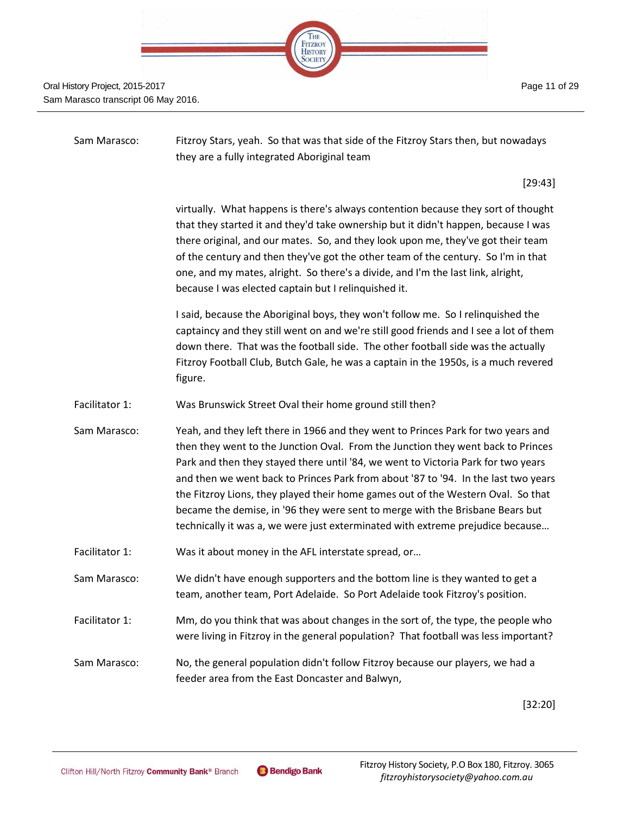| HE                        |  |
|---------------------------|--|
| <b>FITZROY</b><br>HISTORY |  |
|                           |  |
|                           |  |

| Sam Marasco:   | Fitzroy Stars, yeah. So that was that side of the Fitzroy Stars then, but nowadays<br>they are a fully integrated Aboriginal team                                                                                                                                                                                                                                                                                                                                                                                                                                                                       |
|----------------|---------------------------------------------------------------------------------------------------------------------------------------------------------------------------------------------------------------------------------------------------------------------------------------------------------------------------------------------------------------------------------------------------------------------------------------------------------------------------------------------------------------------------------------------------------------------------------------------------------|
|                | [29:43]                                                                                                                                                                                                                                                                                                                                                                                                                                                                                                                                                                                                 |
|                | virtually. What happens is there's always contention because they sort of thought<br>that they started it and they'd take ownership but it didn't happen, because I was<br>there original, and our mates. So, and they look upon me, they've got their team<br>of the century and then they've got the other team of the century. So I'm in that<br>one, and my mates, alright. So there's a divide, and I'm the last link, alright,<br>because I was elected captain but I relinquished it.                                                                                                            |
|                | I said, because the Aboriginal boys, they won't follow me. So I relinquished the<br>captaincy and they still went on and we're still good friends and I see a lot of them<br>down there. That was the football side. The other football side was the actually<br>Fitzroy Football Club, Butch Gale, he was a captain in the 1950s, is a much revered<br>figure.                                                                                                                                                                                                                                         |
| Facilitator 1: | Was Brunswick Street Oval their home ground still then?                                                                                                                                                                                                                                                                                                                                                                                                                                                                                                                                                 |
| Sam Marasco:   | Yeah, and they left there in 1966 and they went to Princes Park for two years and<br>then they went to the Junction Oval. From the Junction they went back to Princes<br>Park and then they stayed there until '84, we went to Victoria Park for two years<br>and then we went back to Princes Park from about '87 to '94. In the last two years<br>the Fitzroy Lions, they played their home games out of the Western Oval. So that<br>became the demise, in '96 they were sent to merge with the Brisbane Bears but<br>technically it was a, we were just exterminated with extreme prejudice because |
| Facilitator 1: | Was it about money in the AFL interstate spread, or                                                                                                                                                                                                                                                                                                                                                                                                                                                                                                                                                     |
| Sam Marasco:   | We didn't have enough supporters and the bottom line is they wanted to get a<br>team, another team, Port Adelaide. So Port Adelaide took Fitzroy's position.                                                                                                                                                                                                                                                                                                                                                                                                                                            |
| Facilitator 1: | Mm, do you think that was about changes in the sort of, the type, the people who<br>were living in Fitzroy in the general population? That football was less important?                                                                                                                                                                                                                                                                                                                                                                                                                                 |
| Sam Marasco:   | No, the general population didn't follow Fitzroy because our players, we had a<br>feeder area from the East Doncaster and Balwyn,                                                                                                                                                                                                                                                                                                                                                                                                                                                                       |

[32:20]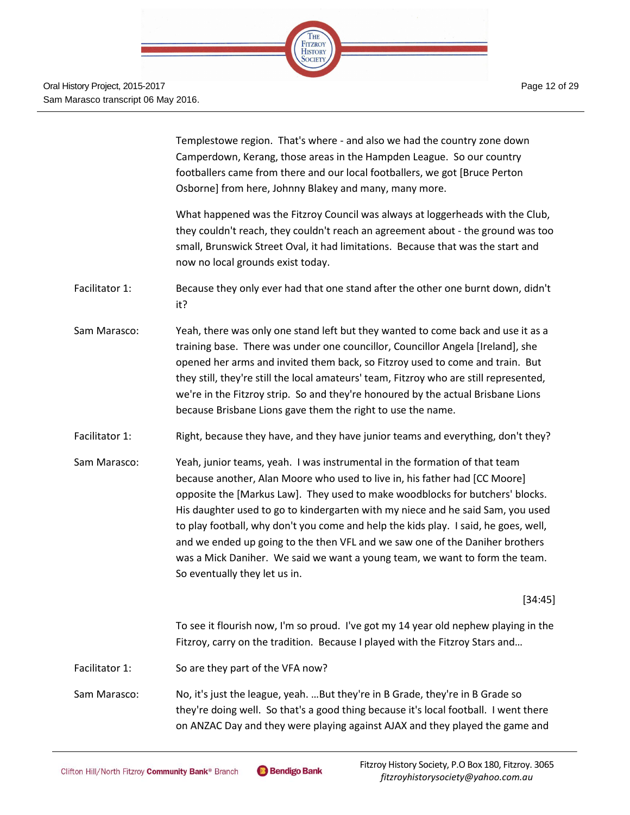

> Templestowe region. That's where - and also we had the country zone down Camperdown, Kerang, those areas in the Hampden League. So our country footballers came from there and our local footballers, we got [Bruce Perton Osborne] from here, Johnny Blakey and many, many more.

What happened was the Fitzroy Council was always at loggerheads with the Club, they couldn't reach, they couldn't reach an agreement about - the ground was too small, Brunswick Street Oval, it had limitations. Because that was the start and now no local grounds exist today.

- Facilitator 1: Because they only ever had that one stand after the other one burnt down, didn't it?
- Sam Marasco: Yeah, there was only one stand left but they wanted to come back and use it as a training base. There was under one councillor, Councillor Angela [Ireland], she opened her arms and invited them back, so Fitzroy used to come and train. But they still, they're still the local amateurs' team, Fitzroy who are still represented, we're in the Fitzroy strip. So and they're honoured by the actual Brisbane Lions because Brisbane Lions gave them the right to use the name.
- Facilitator 1: Right, because they have, and they have junior teams and everything, don't they?
- Sam Marasco: Yeah, junior teams, yeah. I was instrumental in the formation of that team because another, Alan Moore who used to live in, his father had [CC Moore] opposite the [Markus Law]. They used to make woodblocks for butchers' blocks. His daughter used to go to kindergarten with my niece and he said Sam, you used to play football, why don't you come and help the kids play. I said, he goes, well, and we ended up going to the then VFL and we saw one of the Daniher brothers was a Mick Daniher. We said we want a young team, we want to form the team. So eventually they let us in.

[34:45]

To see it flourish now, I'm so proud. I've got my 14 year old nephew playing in the Fitzroy, carry on the tradition. Because I played with the Fitzroy Stars and…

- Facilitator 1: So are they part of the VFA now?
- Sam Marasco: No, it's just the league, yeah. …But they're in B Grade, they're in B Grade so they're doing well. So that's a good thing because it's local football. I went there on ANZAC Day and they were playing against AJAX and they played the game and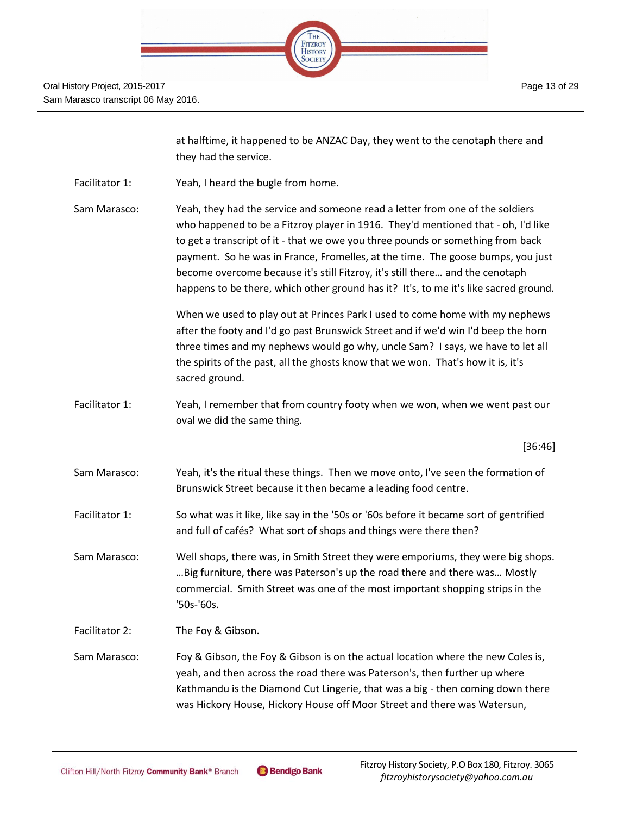| THE<br>FITZROY<br>HISTORY |  |
|---------------------------|--|
|                           |  |
|                           |  |

at halftime, it happened to be ANZAC Day, they went to the cenotaph there and they had the service.

Facilitator 1: Yeah, I heard the bugle from home.

Sam Marasco: Yeah, they had the service and someone read a letter from one of the soldiers who happened to be a Fitzroy player in 1916. They'd mentioned that - oh, I'd like to get a transcript of it - that we owe you three pounds or something from back payment. So he was in France, Fromelles, at the time. The goose bumps, you just become overcome because it's still Fitzroy, it's still there… and the cenotaph happens to be there, which other ground has it? It's, to me it's like sacred ground.

> When we used to play out at Princes Park I used to come home with my nephews after the footy and I'd go past Brunswick Street and if we'd win I'd beep the horn three times and my nephews would go why, uncle Sam? I says, we have to let all the spirits of the past, all the ghosts know that we won. That's how it is, it's sacred ground.

Facilitator 1: Yeah, I remember that from country footy when we won, when we went past our oval we did the same thing.

[36:46]

- Sam Marasco: Yeah, it's the ritual these things. Then we move onto, I've seen the formation of Brunswick Street because it then became a leading food centre.
- Facilitator 1: So what was it like, like say in the '50s or '60s before it became sort of gentrified and full of cafés? What sort of shops and things were there then?

Sam Marasco: Well shops, there was, in Smith Street they were emporiums, they were big shops. …Big furniture, there was Paterson's up the road there and there was… Mostly commercial. Smith Street was one of the most important shopping strips in the '50s-'60s.

Facilitator 2: The Foy & Gibson.

Sam Marasco: Foy & Gibson, the Foy & Gibson is on the actual location where the new Coles is, yeah, and then across the road there was Paterson's, then further up where Kathmandu is the Diamond Cut Lingerie, that was a big - then coming down there was Hickory House, Hickory House off Moor Street and there was Watersun,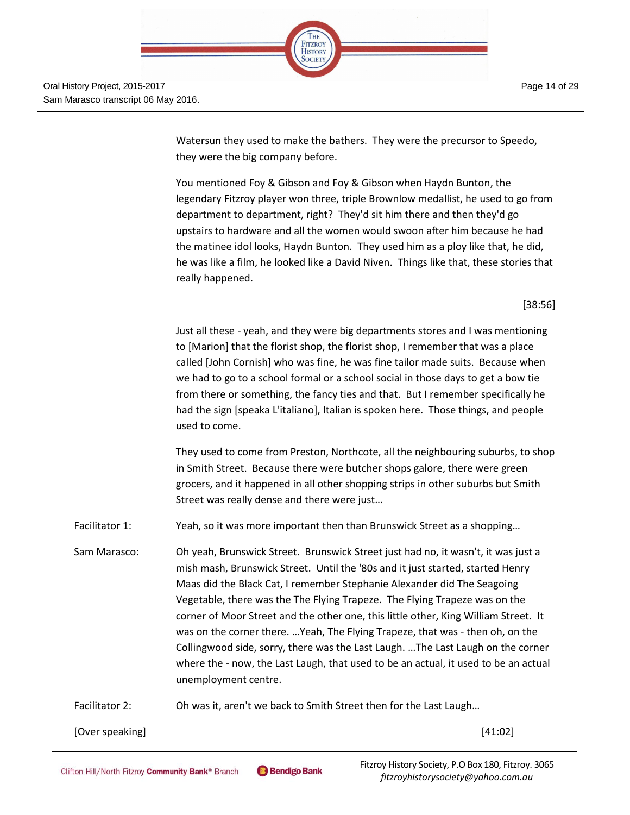

> Watersun they used to make the bathers. They were the precursor to Speedo, they were the big company before.

You mentioned Foy & Gibson and Foy & Gibson when Haydn Bunton, the legendary Fitzroy player won three, triple Brownlow medallist, he used to go from department to department, right? They'd sit him there and then they'd go upstairs to hardware and all the women would swoon after him because he had the matinee idol looks, Haydn Bunton. They used him as a ploy like that, he did, he was like a film, he looked like a David Niven. Things like that, these stories that really happened.

[38:56]

Just all these - yeah, and they were big departments stores and I was mentioning to [Marion] that the florist shop, the florist shop, I remember that was a place called [John Cornish] who was fine, he was fine tailor made suits. Because when we had to go to a school formal or a school social in those days to get a bow tie from there or something, the fancy ties and that. But I remember specifically he had the sign [speaka L'italiano], Italian is spoken here. Those things, and people used to come.

They used to come from Preston, Northcote, all the neighbouring suburbs, to shop in Smith Street. Because there were butcher shops galore, there were green grocers, and it happened in all other shopping strips in other suburbs but Smith Street was really dense and there were just…

Facilitator 1: Yeah, so it was more important then than Brunswick Street as a shopping...

Sam Marasco: Oh yeah, Brunswick Street. Brunswick Street just had no, it wasn't, it was just a mish mash, Brunswick Street. Until the '80s and it just started, started Henry Maas did the Black Cat, I remember Stephanie Alexander did The Seagoing Vegetable, there was the The Flying Trapeze. The Flying Trapeze was on the corner of Moor Street and the other one, this little other, King William Street. It was on the corner there. …Yeah, The Flying Trapeze, that was - then oh, on the Collingwood side, sorry, there was the Last Laugh. …The Last Laugh on the corner where the - now, the Last Laugh, that used to be an actual, it used to be an actual unemployment centre.

Facilitator 2: Oh was it, aren't we back to Smith Street then for the Last Laugh...

[Over speaking] [41:02]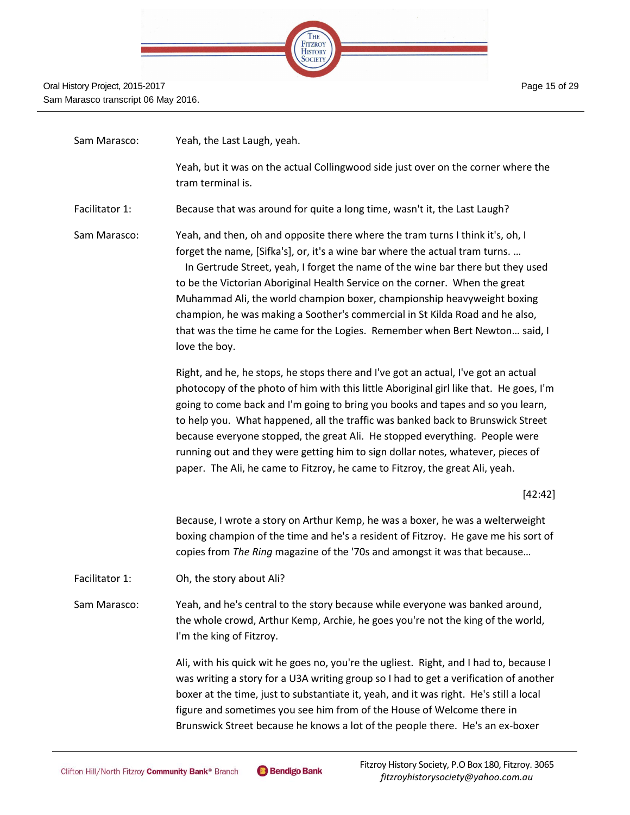

| Sam Marasco:   | Yeah, the Last Laugh, yeah.                                                                                                                                                                                                                                                                                                                                                                                                                                                                                                                                                                          |
|----------------|------------------------------------------------------------------------------------------------------------------------------------------------------------------------------------------------------------------------------------------------------------------------------------------------------------------------------------------------------------------------------------------------------------------------------------------------------------------------------------------------------------------------------------------------------------------------------------------------------|
|                | Yeah, but it was on the actual Collingwood side just over on the corner where the<br>tram terminal is.                                                                                                                                                                                                                                                                                                                                                                                                                                                                                               |
| Facilitator 1: | Because that was around for quite a long time, wasn't it, the Last Laugh?                                                                                                                                                                                                                                                                                                                                                                                                                                                                                                                            |
| Sam Marasco:   | Yeah, and then, oh and opposite there where the tram turns I think it's, oh, I<br>forget the name, [Sifka's], or, it's a wine bar where the actual tram turns.<br>In Gertrude Street, yeah, I forget the name of the wine bar there but they used<br>to be the Victorian Aboriginal Health Service on the corner. When the great<br>Muhammad Ali, the world champion boxer, championship heavyweight boxing<br>champion, he was making a Soother's commercial in St Kilda Road and he also,<br>that was the time he came for the Logies. Remember when Bert Newton said, I<br>love the boy.          |
|                | Right, and he, he stops, he stops there and I've got an actual, I've got an actual<br>photocopy of the photo of him with this little Aboriginal girl like that. He goes, I'm<br>going to come back and I'm going to bring you books and tapes and so you learn,<br>to help you. What happened, all the traffic was banked back to Brunswick Street<br>because everyone stopped, the great Ali. He stopped everything. People were<br>running out and they were getting him to sign dollar notes, whatever, pieces of<br>paper. The Ali, he came to Fitzroy, he came to Fitzroy, the great Ali, yeah. |
|                | [42:42]                                                                                                                                                                                                                                                                                                                                                                                                                                                                                                                                                                                              |
|                | Because, I wrote a story on Arthur Kemp, he was a boxer, he was a welterweight<br>boxing champion of the time and he's a resident of Fitzroy. He gave me his sort of<br>copies from The Ring magazine of the '70s and amongst it was that because                                                                                                                                                                                                                                                                                                                                                    |
| Facilitator 1: | Oh, the story about Ali?                                                                                                                                                                                                                                                                                                                                                                                                                                                                                                                                                                             |
| Sam Marasco:   | Yeah, and he's central to the story because while everyone was banked around,<br>the whole crowd, Arthur Kemp, Archie, he goes you're not the king of the world,<br>I'm the king of Fitzroy.                                                                                                                                                                                                                                                                                                                                                                                                         |
|                | Ali, with his quick wit he goes no, you're the ugliest. Right, and I had to, because I<br>was writing a story for a U3A writing group so I had to get a verification of another<br>boxer at the time, just to substantiate it, yeah, and it was right. He's still a local<br>figure and sometimes you see him from of the House of Welcome there in<br>Brunswick Street because he knows a lot of the people there. He's an ex-boxer                                                                                                                                                                 |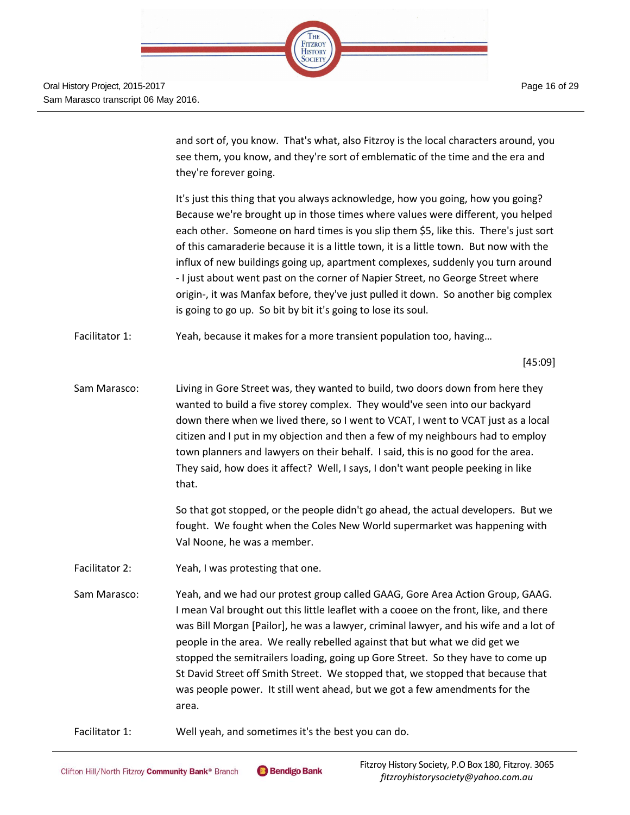| <b>THE</b><br><b>FITZROY</b><br><b>HISTORY</b> |  |
|------------------------------------------------|--|
|                                                |  |
|                                                |  |

and sort of, you know. That's what, also Fitzroy is the local characters around, you see them, you know, and they're sort of emblematic of the time and the era and they're forever going.

It's just this thing that you always acknowledge, how you going, how you going? Because we're brought up in those times where values were different, you helped each other. Someone on hard times is you slip them \$5, like this. There's just sort of this camaraderie because it is a little town, it is a little town. But now with the influx of new buildings going up, apartment complexes, suddenly you turn around - I just about went past on the corner of Napier Street, no George Street where origin-, it was Manfax before, they've just pulled it down. So another big complex is going to go up. So bit by bit it's going to lose its soul.

Facilitator 1: Yeah, because it makes for a more transient population too, having...

[45:09]

Sam Marasco: Living in Gore Street was, they wanted to build, two doors down from here they wanted to build a five storey complex. They would've seen into our backyard down there when we lived there, so I went to VCAT, I went to VCAT just as a local citizen and I put in my objection and then a few of my neighbours had to employ town planners and lawyers on their behalf. I said, this is no good for the area. They said, how does it affect? Well, I says, I don't want people peeking in like that.

> So that got stopped, or the people didn't go ahead, the actual developers. But we fought. We fought when the Coles New World supermarket was happening with Val Noone, he was a member.

- Facilitator 2: Yeah, I was protesting that one.
- Sam Marasco: Yeah, and we had our protest group called GAAG, Gore Area Action Group, GAAG. I mean Val brought out this little leaflet with a cooee on the front, like, and there was Bill Morgan [Pailor], he was a lawyer, criminal lawyer, and his wife and a lot of people in the area. We really rebelled against that but what we did get we stopped the semitrailers loading, going up Gore Street. So they have to come up St David Street off Smith Street. We stopped that, we stopped that because that was people power. It still went ahead, but we got a few amendments for the area.
- Facilitator 1: Well yeah, and sometimes it's the best you can do.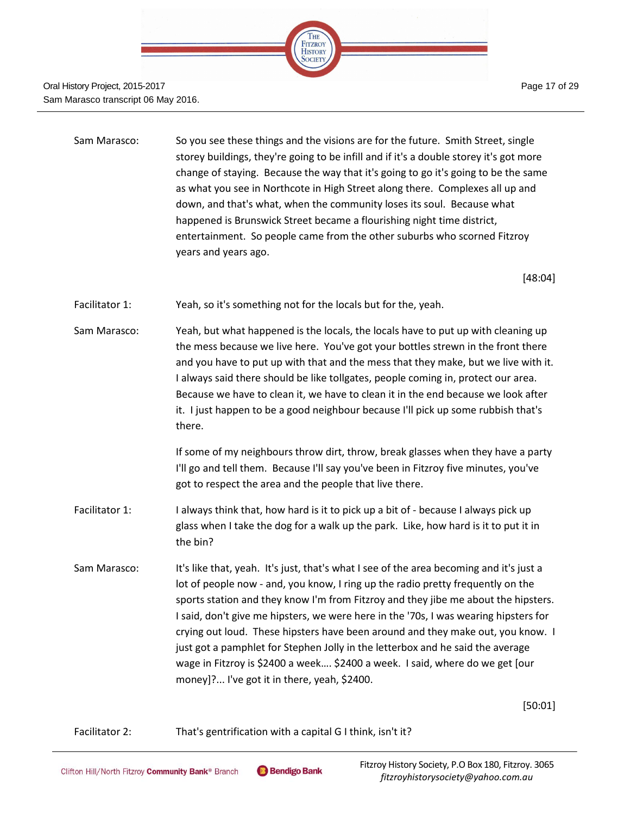

| Sam Marasco: | So you see these things and the visions are for the future. Smith Street, single       |
|--------------|----------------------------------------------------------------------------------------|
|              | storey buildings, they're going to be infill and if it's a double storey it's got more |
|              | change of staying. Because the way that it's going to go it's going to be the same     |
|              | as what you see in Northcote in High Street along there. Complexes all up and          |
|              | down, and that's what, when the community loses its soul. Because what                 |
|              | happened is Brunswick Street became a flourishing night time district,                 |
|              | entertainment. So people came from the other suburbs who scorned Fitzroy               |
|              | years and years ago.                                                                   |
|              |                                                                                        |

[48:04]

- Facilitator 1: Yeah, so it's something not for the locals but for the, yeah.
- Sam Marasco: Yeah, but what happened is the locals, the locals have to put up with cleaning up the mess because we live here. You've got your bottles strewn in the front there and you have to put up with that and the mess that they make, but we live with it. I always said there should be like tollgates, people coming in, protect our area. Because we have to clean it, we have to clean it in the end because we look after it. I just happen to be a good neighbour because I'll pick up some rubbish that's there.

If some of my neighbours throw dirt, throw, break glasses when they have a party I'll go and tell them. Because I'll say you've been in Fitzroy five minutes, you've got to respect the area and the people that live there.

- Facilitator 1: I always think that, how hard is it to pick up a bit of because I always pick up glass when I take the dog for a walk up the park. Like, how hard is it to put it in the bin?
- Sam Marasco: It's like that, yeah. It's just, that's what I see of the area becoming and it's just a lot of people now - and, you know, I ring up the radio pretty frequently on the sports station and they know I'm from Fitzroy and they jibe me about the hipsters. I said, don't give me hipsters, we were here in the '70s, I was wearing hipsters for crying out loud. These hipsters have been around and they make out, you know. I just got a pamphlet for Stephen Jolly in the letterbox and he said the average wage in Fitzroy is \$2400 a week…. \$2400 a week. I said, where do we get [our money]?... I've got it in there, yeah, \$2400.

[50:01]

Facilitator 2: That's gentrification with a capital G I think, isn't it?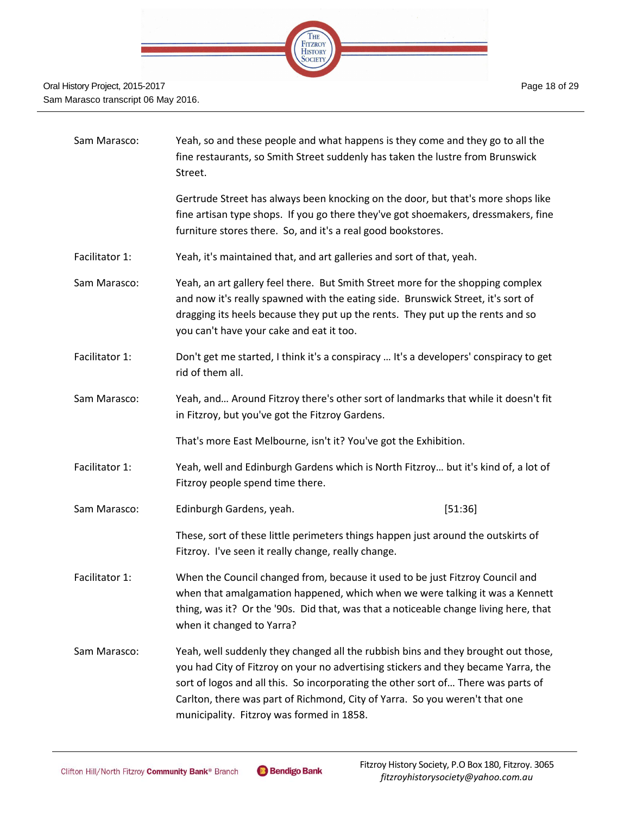

| Sam Marasco:   | Yeah, so and these people and what happens is they come and they go to all the<br>fine restaurants, so Smith Street suddenly has taken the lustre from Brunswick<br>Street.                                                                                                                                                                                                              |         |
|----------------|------------------------------------------------------------------------------------------------------------------------------------------------------------------------------------------------------------------------------------------------------------------------------------------------------------------------------------------------------------------------------------------|---------|
|                | Gertrude Street has always been knocking on the door, but that's more shops like<br>fine artisan type shops. If you go there they've got shoemakers, dressmakers, fine<br>furniture stores there. So, and it's a real good bookstores.                                                                                                                                                   |         |
| Facilitator 1: | Yeah, it's maintained that, and art galleries and sort of that, yeah.                                                                                                                                                                                                                                                                                                                    |         |
| Sam Marasco:   | Yeah, an art gallery feel there. But Smith Street more for the shopping complex<br>and now it's really spawned with the eating side. Brunswick Street, it's sort of<br>dragging its heels because they put up the rents. They put up the rents and so<br>you can't have your cake and eat it too.                                                                                        |         |
| Facilitator 1: | Don't get me started, I think it's a conspiracy  It's a developers' conspiracy to get<br>rid of them all.                                                                                                                                                                                                                                                                                |         |
| Sam Marasco:   | Yeah, and Around Fitzroy there's other sort of landmarks that while it doesn't fit<br>in Fitzroy, but you've got the Fitzroy Gardens.                                                                                                                                                                                                                                                    |         |
|                | That's more East Melbourne, isn't it? You've got the Exhibition.                                                                                                                                                                                                                                                                                                                         |         |
| Facilitator 1: | Yeah, well and Edinburgh Gardens which is North Fitzroy but it's kind of, a lot of<br>Fitzroy people spend time there.                                                                                                                                                                                                                                                                   |         |
| Sam Marasco:   | Edinburgh Gardens, yeah.                                                                                                                                                                                                                                                                                                                                                                 | [51:36] |
|                | These, sort of these little perimeters things happen just around the outskirts of<br>Fitzroy. I've seen it really change, really change.                                                                                                                                                                                                                                                 |         |
| Facilitator 1: | When the Council changed from, because it used to be just Fitzroy Council and<br>when that amalgamation happened, which when we were talking it was a Kennett<br>thing, was it? Or the '90s. Did that, was that a noticeable change living here, that<br>when it changed to Yarra?                                                                                                       |         |
| Sam Marasco:   | Yeah, well suddenly they changed all the rubbish bins and they brought out those,<br>you had City of Fitzroy on your no advertising stickers and they became Yarra, the<br>sort of logos and all this. So incorporating the other sort of There was parts of<br>Carlton, there was part of Richmond, City of Yarra. So you weren't that one<br>municipality. Fitzroy was formed in 1858. |         |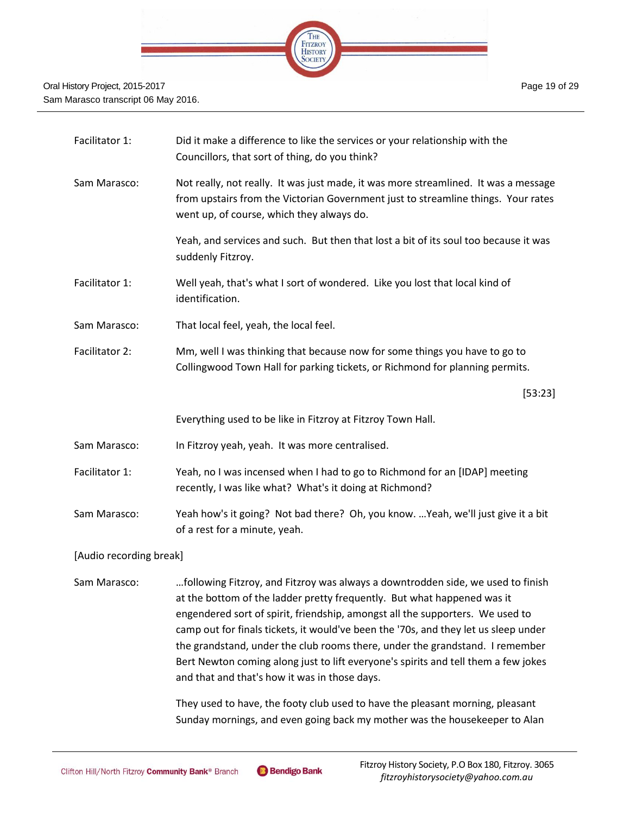

| Facilitator 1: | Did it make a difference to like the services or your relationship with the<br>Councillors, that sort of thing, do you think?                                                                                         |
|----------------|-----------------------------------------------------------------------------------------------------------------------------------------------------------------------------------------------------------------------|
| Sam Marasco:   | Not really, not really. It was just made, it was more streamlined. It was a message<br>from upstairs from the Victorian Government just to streamline things. Your rates<br>went up, of course, which they always do. |
|                | Yeah, and services and such. But then that lost a bit of its soul too because it was<br>suddenly Fitzroy.                                                                                                             |
| Facilitator 1: | Well yeah, that's what I sort of wondered. Like you lost that local kind of<br>identification.                                                                                                                        |
| Sam Marasco:   | That local feel, yeah, the local feel.                                                                                                                                                                                |
| Facilitator 2: | Mm, well I was thinking that because now for some things you have to go to<br>Collingwood Town Hall for parking tickets, or Richmond for planning permits.                                                            |
|                | [53:23]                                                                                                                                                                                                               |
|                | Everything used to be like in Fitzroy at Fitzroy Town Hall.                                                                                                                                                           |
| Sam Marasco:   | In Fitzroy yeah, yeah. It was more centralised.                                                                                                                                                                       |
| Facilitator 1: | Yeah, no I was incensed when I had to go to Richmond for an [IDAP] meeting<br>recently, I was like what? What's it doing at Richmond?                                                                                 |
| Sam Marasco:   | Yeah how's it going? Not bad there? Oh, you know.  Yeah, we'll just give it a bit<br>of a rest for a minute, yeah.                                                                                                    |

[Audio recording break]

Sam Marasco: …following Fitzroy, and Fitzroy was always a downtrodden side, we used to finish at the bottom of the ladder pretty frequently. But what happened was it engendered sort of spirit, friendship, amongst all the supporters. We used to camp out for finals tickets, it would've been the '70s, and they let us sleep under the grandstand, under the club rooms there, under the grandstand. I remember Bert Newton coming along just to lift everyone's spirits and tell them a few jokes and that and that's how it was in those days.

> They used to have, the footy club used to have the pleasant morning, pleasant Sunday mornings, and even going back my mother was the housekeeper to Alan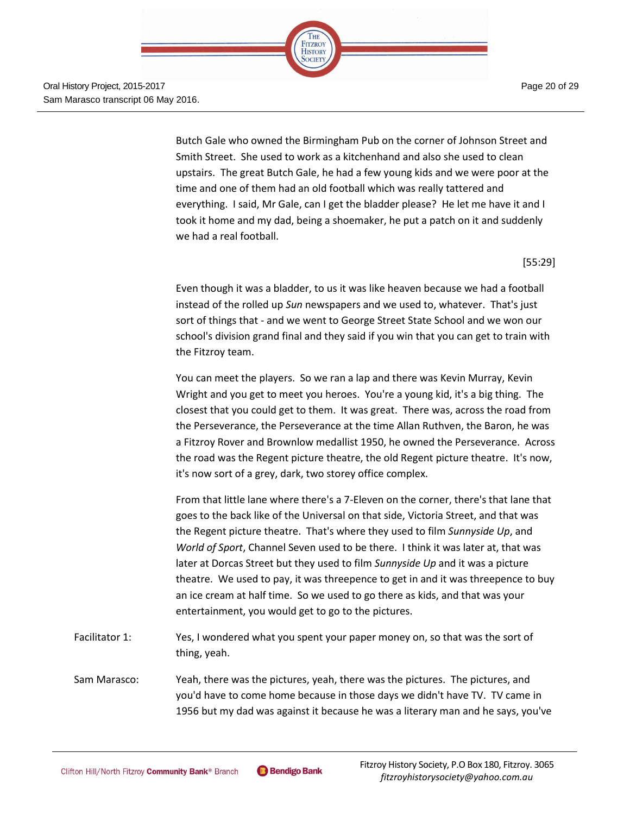

> Butch Gale who owned the Birmingham Pub on the corner of Johnson Street and Smith Street. She used to work as a kitchenhand and also she used to clean upstairs. The great Butch Gale, he had a few young kids and we were poor at the time and one of them had an old football which was really tattered and everything. I said, Mr Gale, can I get the bladder please? He let me have it and I took it home and my dad, being a shoemaker, he put a patch on it and suddenly we had a real football.

THE FITZROY **HISTORY** SOCIETY

[55:29]

Even though it was a bladder, to us it was like heaven because we had a football instead of the rolled up *Sun* newspapers and we used to, whatever. That's just sort of things that - and we went to George Street State School and we won our school's division grand final and they said if you win that you can get to train with the Fitzroy team.

You can meet the players. So we ran a lap and there was Kevin Murray, Kevin Wright and you get to meet you heroes. You're a young kid, it's a big thing. The closest that you could get to them. It was great. There was, across the road from the Perseverance, the Perseverance at the time Allan Ruthven, the Baron, he was a Fitzroy Rover and Brownlow medallist 1950, he owned the Perseverance. Across the road was the Regent picture theatre, the old Regent picture theatre. It's now, it's now sort of a grey, dark, two storey office complex.

From that little lane where there's a 7-Eleven on the corner, there's that lane that goes to the back like of the Universal on that side, Victoria Street, and that was the Regent picture theatre. That's where they used to film *Sunnyside Up*, and *World of Sport*, Channel Seven used to be there. I think it was later at, that was later at Dorcas Street but they used to film *Sunnyside Up* and it was a picture theatre. We used to pay, it was threepence to get in and it was threepence to buy an ice cream at half time. So we used to go there as kids, and that was your entertainment, you would get to go to the pictures.

Facilitator 1: Yes, I wondered what you spent your paper money on, so that was the sort of thing, yeah.

Sam Marasco: Yeah, there was the pictures, yeah, there was the pictures. The pictures, and you'd have to come home because in those days we didn't have TV. TV came in 1956 but my dad was against it because he was a literary man and he says, you've

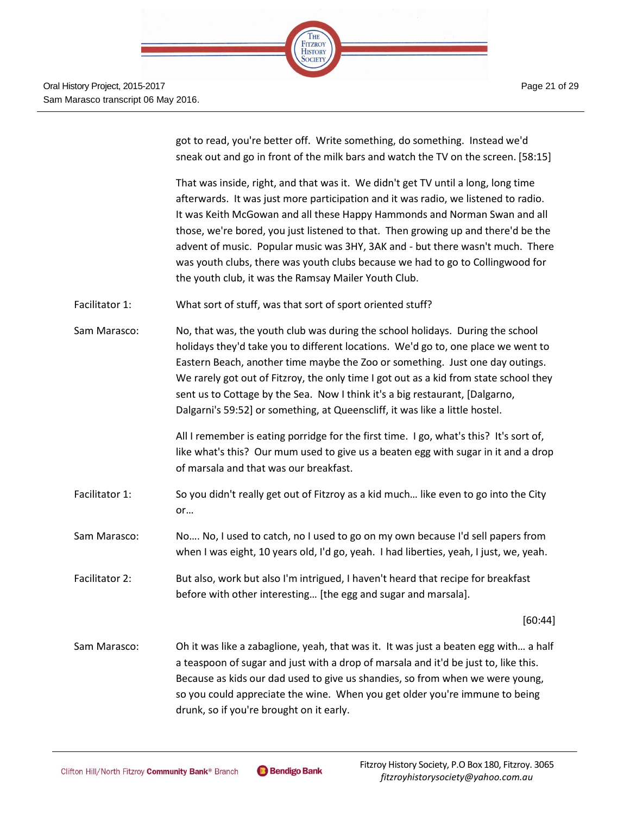got to read, you're better off. Write something, do something. Instead we'd sneak out and go in front of the milk bars and watch the TV on the screen. [58:15]

That was inside, right, and that was it. We didn't get TV until a long, long time afterwards. It was just more participation and it was radio, we listened to radio. It was Keith McGowan and all these Happy Hammonds and Norman Swan and all those, we're bored, you just listened to that. Then growing up and there'd be the advent of music. Popular music was 3HY, 3AK and - but there wasn't much. There was youth clubs, there was youth clubs because we had to go to Collingwood for the youth club, it was the Ramsay Mailer Youth Club.

- Facilitator 1: What sort of stuff, was that sort of sport oriented stuff?
- Sam Marasco: No, that was, the youth club was during the school holidays. During the school holidays they'd take you to different locations. We'd go to, one place we went to Eastern Beach, another time maybe the Zoo or something. Just one day outings. We rarely got out of Fitzroy, the only time I got out as a kid from state school they sent us to Cottage by the Sea. Now I think it's a big restaurant, [Dalgarno, Dalgarni's 59:52] or something, at Queenscliff, it was like a little hostel.

All I remember is eating porridge for the first time. I go, what's this? It's sort of, like what's this? Our mum used to give us a beaten egg with sugar in it and a drop of marsala and that was our breakfast.

- Facilitator 1: So you didn't really get out of Fitzroy as a kid much… like even to go into the City or…
- Sam Marasco: No…. No, I used to catch, no I used to go on my own because I'd sell papers from when I was eight, 10 years old, I'd go, yeah. I had liberties, yeah, I just, we, yeah.
- Facilitator 2: But also, work but also I'm intrigued, I haven't heard that recipe for breakfast before with other interesting… [the egg and sugar and marsala].

[60:44]

Sam Marasco: Oh it was like a zabaglione, yeah, that was it. It was just a beaten egg with… a half a teaspoon of sugar and just with a drop of marsala and it'd be just to, like this. Because as kids our dad used to give us shandies, so from when we were young, so you could appreciate the wine. When you get older you're immune to being drunk, so if you're brought on it early.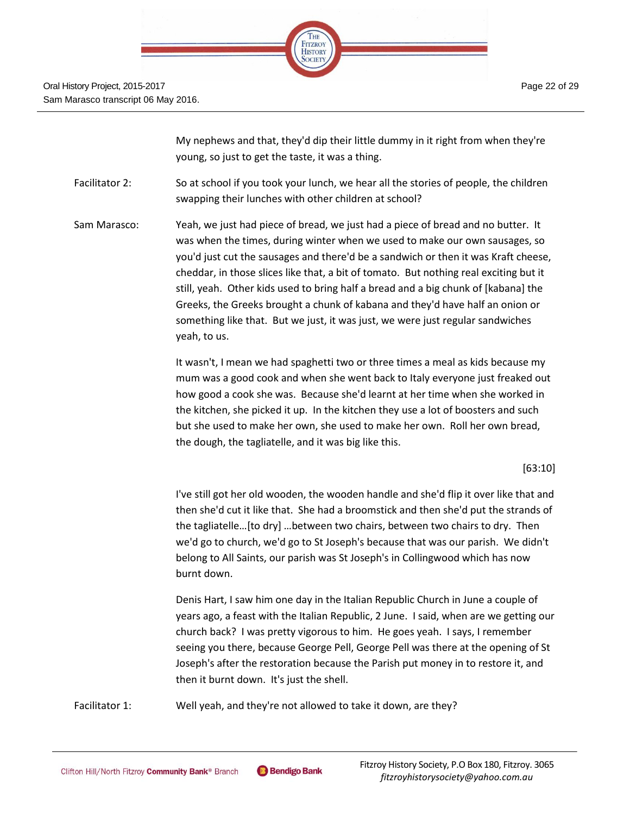| HE                        |  |
|---------------------------|--|
| <b>FITZROY</b><br>HISTORY |  |
|                           |  |
|                           |  |

My nephews and that, they'd dip their little dummy in it right from when they're young, so just to get the taste, it was a thing.

Facilitator 2: So at school if you took your lunch, we hear all the stories of people, the children swapping their lunches with other children at school?

Sam Marasco: Yeah, we just had piece of bread, we just had a piece of bread and no butter. It was when the times, during winter when we used to make our own sausages, so you'd just cut the sausages and there'd be a sandwich or then it was Kraft cheese, cheddar, in those slices like that, a bit of tomato. But nothing real exciting but it still, yeah. Other kids used to bring half a bread and a big chunk of [kabana] the Greeks, the Greeks brought a chunk of kabana and they'd have half an onion or something like that. But we just, it was just, we were just regular sandwiches yeah, to us.

> It wasn't, I mean we had spaghetti two or three times a meal as kids because my mum was a good cook and when she went back to Italy everyone just freaked out how good a cook she was. Because she'd learnt at her time when she worked in the kitchen, she picked it up. In the kitchen they use a lot of boosters and such but she used to make her own, she used to make her own. Roll her own bread, the dough, the tagliatelle, and it was big like this.

#### [63:10]

I've still got her old wooden, the wooden handle and she'd flip it over like that and then she'd cut it like that. She had a broomstick and then she'd put the strands of the tagliatelle…[to dry] …between two chairs, between two chairs to dry. Then we'd go to church, we'd go to St Joseph's because that was our parish. We didn't belong to All Saints, our parish was St Joseph's in Collingwood which has now burnt down.

Denis Hart, I saw him one day in the Italian Republic Church in June a couple of years ago, a feast with the Italian Republic, 2 June. I said, when are we getting our church back? I was pretty vigorous to him. He goes yeah. I says, I remember seeing you there, because George Pell, George Pell was there at the opening of St Joseph's after the restoration because the Parish put money in to restore it, and then it burnt down. It's just the shell.

Facilitator 1: Well yeah, and they're not allowed to take it down, are they?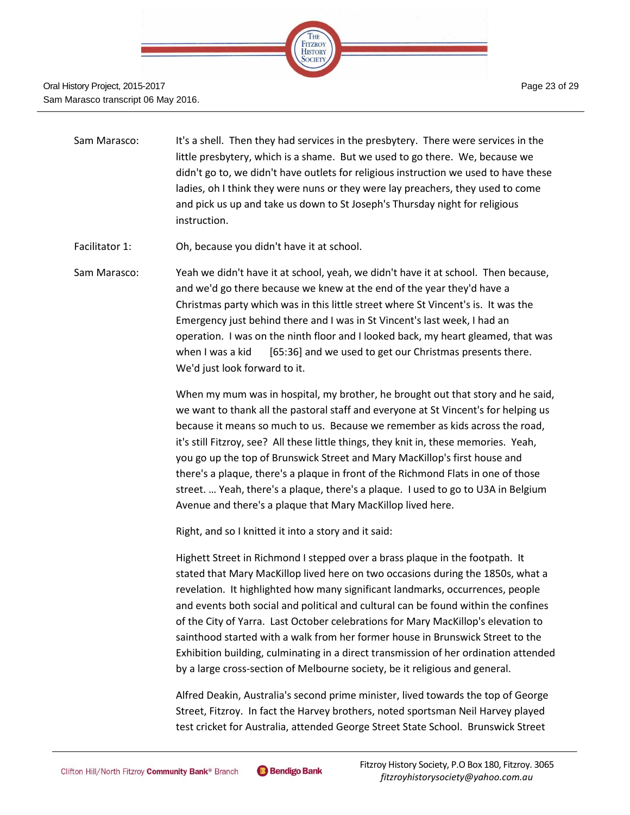

- Sam Marasco: It's a shell. Then they had services in the presbytery. There were services in the little presbytery, which is a shame. But we used to go there. We, because we didn't go to, we didn't have outlets for religious instruction we used to have these ladies, oh I think they were nuns or they were lay preachers, they used to come and pick us up and take us down to St Joseph's Thursday night for religious instruction.
- Facilitator 1: Oh, because you didn't have it at school.
- Sam Marasco: Yeah we didn't have it at school, yeah, we didn't have it at school. Then because, and we'd go there because we knew at the end of the year they'd have a Christmas party which was in this little street where St Vincent's is. It was the Emergency just behind there and I was in St Vincent's last week, I had an operation. I was on the ninth floor and I looked back, my heart gleamed, that was when I was a kid [65:36] and we used to get our Christmas presents there. We'd just look forward to it.

When my mum was in hospital, my brother, he brought out that story and he said, we want to thank all the pastoral staff and everyone at St Vincent's for helping us because it means so much to us. Because we remember as kids across the road, it's still Fitzroy, see? All these little things, they knit in, these memories. Yeah, you go up the top of Brunswick Street and Mary MacKillop's first house and there's a plaque, there's a plaque in front of the Richmond Flats in one of those street. … Yeah, there's a plaque, there's a plaque. I used to go to U3A in Belgium Avenue and there's a plaque that Mary MacKillop lived here.

Right, and so I knitted it into a story and it said:

Highett Street in Richmond I stepped over a brass plaque in the footpath. It stated that Mary MacKillop lived here on two occasions during the 1850s, what a revelation. It highlighted how many significant landmarks, occurrences, people and events both social and political and cultural can be found within the confines of the City of Yarra. Last October celebrations for Mary MacKillop's elevation to sainthood started with a walk from her former house in Brunswick Street to the Exhibition building, culminating in a direct transmission of her ordination attended by a large cross-section of Melbourne society, be it religious and general.

Alfred Deakin, Australia's second prime minister, lived towards the top of George Street, Fitzroy. In fact the Harvey brothers, noted sportsman Neil Harvey played test cricket for Australia, attended George Street State School. Brunswick Street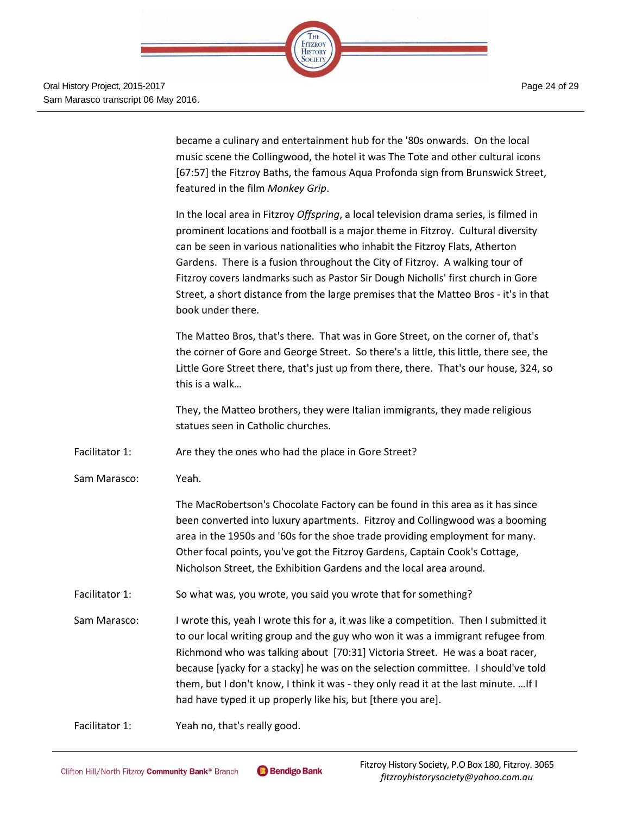**HISTORY** SOCIETY Page 24 of 29 Oral History Project, 2015-2017 Sam Marasco transcript 06 May 2016. became a culinary and entertainment hub for the '80s onwards. On the local music scene the Collingwood, the hotel it was The Tote and other cultural icons [67:57] the Fitzroy Baths, the famous Aqua Profonda sign from Brunswick Street, featured in the film *Monkey Grip*. In the local area in Fitzroy *Offspring*, a local television drama series, is filmed in prominent locations and football is a major theme in Fitzroy. Cultural diversity can be seen in various nationalities who inhabit the Fitzroy Flats, Atherton Gardens. There is a fusion throughout the City of Fitzroy. A walking tour of Fitzroy covers landmarks such as Pastor Sir Dough Nicholls' first church in Gore Street, a short distance from the large premises that the Matteo Bros - it's in that book under there. The Matteo Bros, that's there. That was in Gore Street, on the corner of, that's the corner of Gore and George Street. So there's a little, this little, there see, the Little Gore Street there, that's just up from there, there. That's our house, 324, so this is a walk… They, the Matteo brothers, they were Italian immigrants, they made religious statues seen in Catholic churches. Facilitator 1: Are they the ones who had the place in Gore Street? Sam Marasco: Yeah. The MacRobertson's Chocolate Factory can be found in this area as it has since been converted into luxury apartments. Fitzroy and Collingwood was a booming area in the 1950s and '60s for the shoe trade providing employment for many. Other focal points, you've got the Fitzroy Gardens, Captain Cook's Cottage, Nicholson Street, the Exhibition Gardens and the local area around. Facilitator 1: So what was, you wrote, you said you wrote that for something? Sam Marasco: I wrote this, yeah I wrote this for a, it was like a competition. Then I submitted it to our local writing group and the guy who won it was a immigrant refugee from Richmond who was talking about [70:31] Victoria Street. He was a boat racer, because [yacky for a stacky] he was on the selection committee. I should've told them, but I don't know, I think it was - they only read it at the last minute. …If I had have typed it up properly like his, but [there you are]. Facilitator 1: Yeah no, that's really good.

THE FITZROY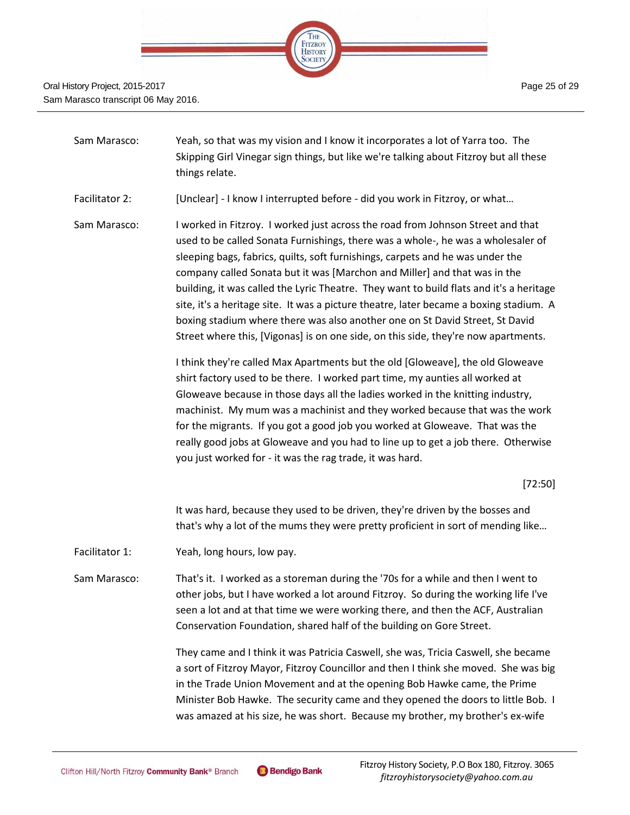

- Sam Marasco: Yeah, so that was my vision and I know it incorporates a lot of Yarra too. The Skipping Girl Vinegar sign things, but like we're talking about Fitzroy but all these things relate.
- Facilitator 2: [Unclear] I know I interrupted before did you work in Fitzroy, or what...
- Sam Marasco: I worked in Fitzroy. I worked just across the road from Johnson Street and that used to be called Sonata Furnishings, there was a whole-, he was a wholesaler of sleeping bags, fabrics, quilts, soft furnishings, carpets and he was under the company called Sonata but it was [Marchon and Miller] and that was in the building, it was called the Lyric Theatre. They want to build flats and it's a heritage site, it's a heritage site. It was a picture theatre, later became a boxing stadium. A boxing stadium where there was also another one on St David Street, St David Street where this, [Vigonas] is on one side, on this side, they're now apartments.

I think they're called Max Apartments but the old [Gloweave], the old Gloweave shirt factory used to be there. I worked part time, my aunties all worked at Gloweave because in those days all the ladies worked in the knitting industry, machinist. My mum was a machinist and they worked because that was the work for the migrants. If you got a good job you worked at Gloweave. That was the really good jobs at Gloweave and you had to line up to get a job there. Otherwise you just worked for - it was the rag trade, it was hard.

#### [72:50]

It was hard, because they used to be driven, they're driven by the bosses and that's why a lot of the mums they were pretty proficient in sort of mending like…

- Facilitator 1: Yeah, long hours, low pay.
- Sam Marasco: That's it. I worked as a storeman during the '70s for a while and then I went to other jobs, but I have worked a lot around Fitzroy. So during the working life I've seen a lot and at that time we were working there, and then the ACF, Australian Conservation Foundation, shared half of the building on Gore Street.

They came and I think it was Patricia Caswell, she was, Tricia Caswell, she became a sort of Fitzroy Mayor, Fitzroy Councillor and then I think she moved. She was big in the Trade Union Movement and at the opening Bob Hawke came, the Prime Minister Bob Hawke. The security came and they opened the doors to little Bob. I was amazed at his size, he was short. Because my brother, my brother's ex-wife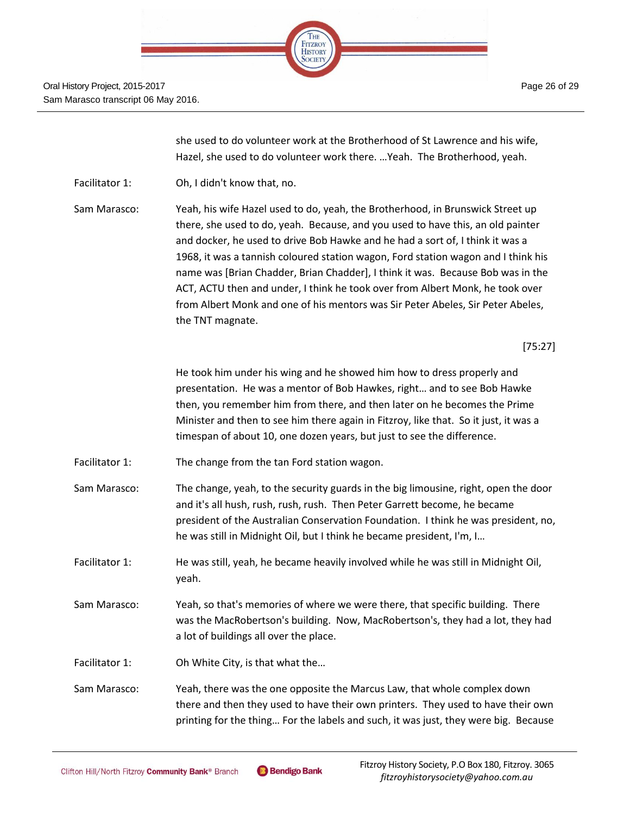

she used to do volunteer work at the Brotherhood of St Lawrence and his wife, Hazel, she used to do volunteer work there. …Yeah. The Brotherhood, yeah.

Facilitator 1: Oh, I didn't know that, no.

Sam Marasco: Yeah, his wife Hazel used to do, yeah, the Brotherhood, in Brunswick Street up there, she used to do, yeah. Because, and you used to have this, an old painter and docker, he used to drive Bob Hawke and he had a sort of, I think it was a 1968, it was a tannish coloured station wagon, Ford station wagon and I think his name was [Brian Chadder, Brian Chadder], I think it was. Because Bob was in the ACT, ACTU then and under, I think he took over from Albert Monk, he took over from Albert Monk and one of his mentors was Sir Peter Abeles, Sir Peter Abeles, the TNT magnate.

[75:27]

He took him under his wing and he showed him how to dress properly and presentation. He was a mentor of Bob Hawkes, right… and to see Bob Hawke then, you remember him from there, and then later on he becomes the Prime Minister and then to see him there again in Fitzroy, like that. So it just, it was a timespan of about 10, one dozen years, but just to see the difference.

- Facilitator 1: The change from the tan Ford station wagon.
- Sam Marasco: The change, yeah, to the security guards in the big limousine, right, open the door and it's all hush, rush, rush, rush. Then Peter Garrett become, he became president of the Australian Conservation Foundation. I think he was president, no, he was still in Midnight Oil, but I think he became president, I'm, I…
- Facilitator 1: He was still, yeah, he became heavily involved while he was still in Midnight Oil, yeah.
- Sam Marasco: Yeah, so that's memories of where we were there, that specific building. There was the MacRobertson's building. Now, MacRobertson's, they had a lot, they had a lot of buildings all over the place.
- Facilitator 1: Oh White City, is that what the…

Sam Marasco: Yeah, there was the one opposite the Marcus Law, that whole complex down there and then they used to have their own printers. They used to have their own printing for the thing… For the labels and such, it was just, they were big. Because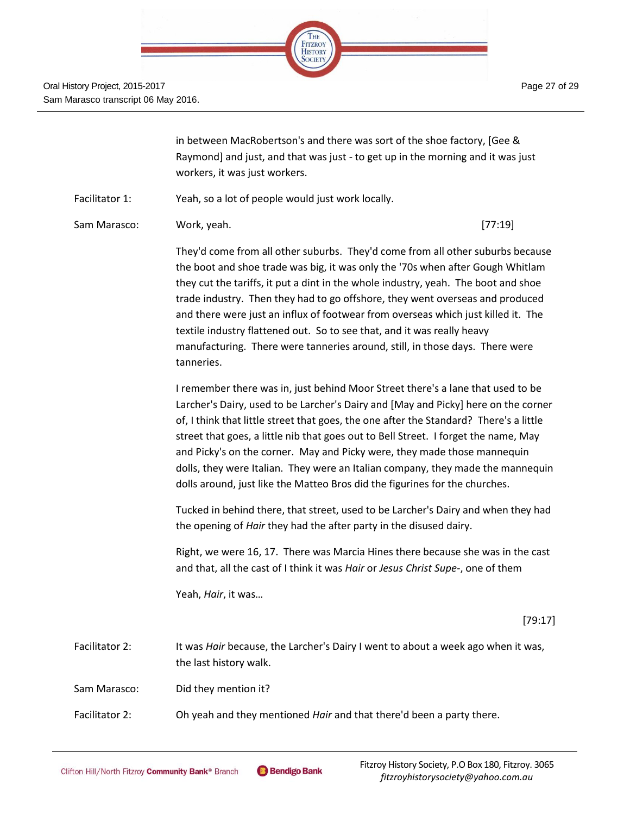

Page 27 of 29

in between MacRobertson's and there was sort of the shoe factory, [Gee & Raymond] and just, and that was just - to get up in the morning and it was just workers, it was just workers.

- Facilitator 1: Yeah, so a lot of people would just work locally.
- Sam Marasco: Cambridge Mork, yeah. Cambridge Sam Marasco: Cambridge Sam Marasco: Cambridge Sam Marasco (37:19]

They'd come from all other suburbs. They'd come from all other suburbs because the boot and shoe trade was big, it was only the '70s when after Gough Whitlam they cut the tariffs, it put a dint in the whole industry, yeah. The boot and shoe trade industry. Then they had to go offshore, they went overseas and produced and there were just an influx of footwear from overseas which just killed it. The textile industry flattened out. So to see that, and it was really heavy manufacturing. There were tanneries around, still, in those days. There were tanneries.

I remember there was in, just behind Moor Street there's a lane that used to be Larcher's Dairy, used to be Larcher's Dairy and [May and Picky] here on the corner of, I think that little street that goes, the one after the Standard? There's a little street that goes, a little nib that goes out to Bell Street. I forget the name, May and Picky's on the corner. May and Picky were, they made those mannequin dolls, they were Italian. They were an Italian company, they made the mannequin dolls around, just like the Matteo Bros did the figurines for the churches.

Tucked in behind there, that street, used to be Larcher's Dairy and when they had the opening of *Hair* they had the after party in the disused dairy.

Right, we were 16, 17. There was Marcia Hines there because she was in the cast and that, all the cast of I think it was *Hair* or *Jesus Christ Supe-*, one of them

Yeah, *Hair*, it was…

[79:17]

Facilitator 2: It was *Hair* because, the Larcher's Dairy I went to about a week ago when it was, the last history walk. Sam Marasco: Did they mention it? Facilitator 2: Oh yeah and they mentioned *Hair* and that there'd been a party there.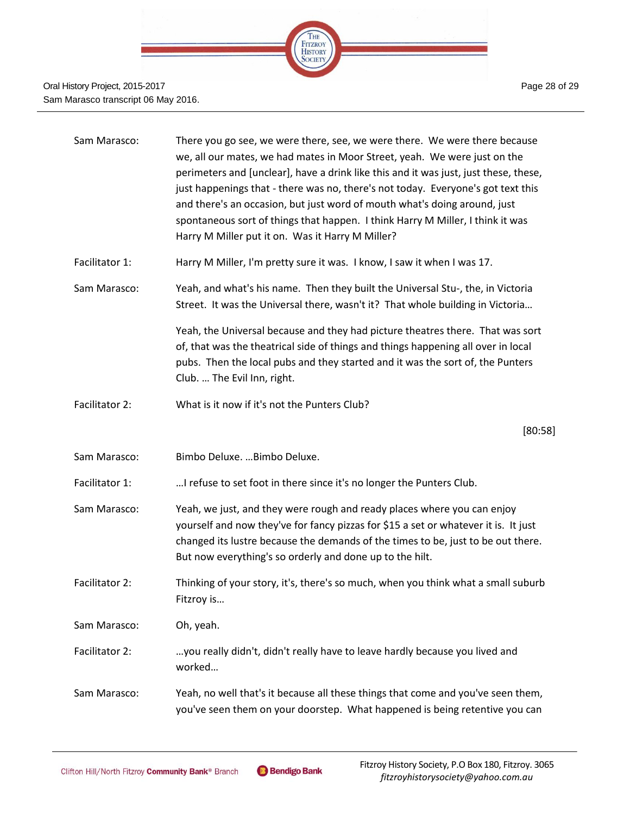

| Sam Marasco:   | There you go see, we were there, see, we were there. We were there because<br>we, all our mates, we had mates in Moor Street, yeah. We were just on the<br>perimeters and [unclear], have a drink like this and it was just, just these, these,<br>just happenings that - there was no, there's not today. Everyone's got text this<br>and there's an occasion, but just word of mouth what's doing around, just<br>spontaneous sort of things that happen. I think Harry M Miller, I think it was<br>Harry M Miller put it on. Was it Harry M Miller? |
|----------------|--------------------------------------------------------------------------------------------------------------------------------------------------------------------------------------------------------------------------------------------------------------------------------------------------------------------------------------------------------------------------------------------------------------------------------------------------------------------------------------------------------------------------------------------------------|
| Facilitator 1: | Harry M Miller, I'm pretty sure it was. I know, I saw it when I was 17.                                                                                                                                                                                                                                                                                                                                                                                                                                                                                |
| Sam Marasco:   | Yeah, and what's his name. Then they built the Universal Stu-, the, in Victoria<br>Street. It was the Universal there, wasn't it? That whole building in Victoria                                                                                                                                                                                                                                                                                                                                                                                      |
|                | Yeah, the Universal because and they had picture theatres there. That was sort<br>of, that was the theatrical side of things and things happening all over in local<br>pubs. Then the local pubs and they started and it was the sort of, the Punters<br>Club.  The Evil Inn, right.                                                                                                                                                                                                                                                                   |
| Facilitator 2: | What is it now if it's not the Punters Club?                                                                                                                                                                                                                                                                                                                                                                                                                                                                                                           |
|                | [80:58]                                                                                                                                                                                                                                                                                                                                                                                                                                                                                                                                                |
| Sam Marasco:   | Bimbo Deluxe.  Bimbo Deluxe.                                                                                                                                                                                                                                                                                                                                                                                                                                                                                                                           |
| Facilitator 1: | I refuse to set foot in there since it's no longer the Punters Club.                                                                                                                                                                                                                                                                                                                                                                                                                                                                                   |
| Sam Marasco:   | Yeah, we just, and they were rough and ready places where you can enjoy<br>yourself and now they've for fancy pizzas for \$15 a set or whatever it is. It just<br>changed its lustre because the demands of the times to be, just to be out there.<br>But now everything's so orderly and done up to the hilt.                                                                                                                                                                                                                                         |
| Facilitator 2: | Thinking of your story, it's, there's so much, when you think what a small suburb<br>Fitzroy is                                                                                                                                                                                                                                                                                                                                                                                                                                                        |
| Sam Marasco:   | Oh, yeah.                                                                                                                                                                                                                                                                                                                                                                                                                                                                                                                                              |
| Facilitator 2: | you really didn't, didn't really have to leave hardly because you lived and<br>worked                                                                                                                                                                                                                                                                                                                                                                                                                                                                  |
| Sam Marasco:   | Yeah, no well that's it because all these things that come and you've seen them,<br>you've seen them on your doorstep. What happened is being retentive you can                                                                                                                                                                                                                                                                                                                                                                                        |